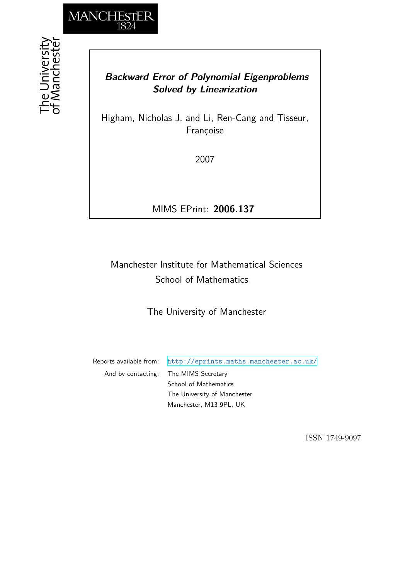

## *Backward Error of Polynomial Eigenproblems Solved by Linearization*

Higham, Nicholas J. and Li, Ren-Cang and Tisseur, Françoise

2007

MIMS EPrint: **2006.137**

# Manchester Institute for Mathematical Sciences School of Mathematics

The University of Manchester

Reports available from: <http://eprints.maths.manchester.ac.uk/> And by contacting: The MIMS Secretary School of Mathematics The University of Manchester Manchester, M13 9PL, UK

ISSN 1749-9097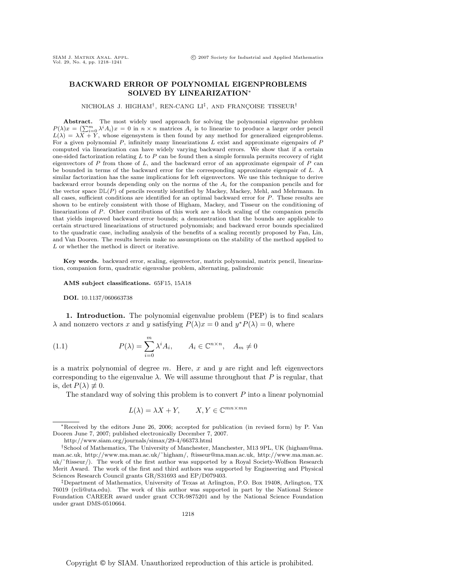### **BACKWARD ERROR OF POLYNOMIAL EIGENPROBLEMS SOLVED BY LINEARIZATION**∗

NICHOLAS J. HIGHAM<sup>†</sup>, REN-CANG LI<sup>‡</sup>, AND FRANÇOISE TISSEUR<sup>†</sup>

**Abstract.** The most widely used approach for solving the polynomial eigenvalue problem  $P(\lambda)x = (\sum_{i=0}^{m} \lambda^{i} A_{i})x = 0$  in  $n \times n$  matrices  $A_{i}$  is to linearize to produce a larger order pencil  $L(\lambda) = \lambda \overline{X} + \overline{Y}$ , whose eigensystem is then found by any method for generalized eigenproblems. For a given polynomial  $P$ , infinitely many linearizations  $L$  exist and approximate eigenpairs of  $P$ computed via linearization can have widely varying backward errors. We show that if a certain one-sided factorization relating  $L$  to  $P$  can be found then a simple formula permits recovery of right eigenvectors of  $P$  from those of  $L$ , and the backward error of an approximate eigenpair of  $P$  can be bounded in terms of the backward error for the corresponding approximate eigenpair of L. A similar factorization has the same implications for left eigenvectors. We use this technique to derive backward error bounds depending only on the norms of the  $A_i$  for the companion pencils and for the vector space  $D\mathbb{L}(P)$  of pencils recently identified by Mackey, Mackey, Mehl, and Mehrmann. In all cases, sufficient conditions are identified for an optimal backward error for P. These results are shown to be entirely consistent with those of Higham, Mackey, and Tisseur on the conditioning of linearizations of P. Other contributions of this work are a block scaling of the companion pencils that yields improved backward error bounds; a demonstration that the bounds are applicable to certain structured linearizations of structured polynomials; and backward error bounds specialized to the quadratic case, including analysis of the benefits of a scaling recently proposed by Fan, Lin, and Van Dooren. The results herein make no assumptions on the stability of the method applied to L or whether the method is direct or iterative.

**Key words.** backward error, scaling, eigenvector, matrix polynomial, matrix pencil, linearization, companion form, quadratic eigenvalue problem, alternating, palindromic

**AMS subject classifications.** 65F15, 15A18

**DOI.** 10.1137/060663738

**1. Introduction.** The polynomial eigenvalue problem (PEP) is to find scalars  $\lambda$  and nonzero vectors x and y satisfying  $P(\lambda)x = 0$  and  $y^*P(\lambda) = 0$ , where

(1.1) 
$$
P(\lambda) = \sum_{i=0}^{m} \lambda^{i} A_{i}, \qquad A_{i} \in \mathbb{C}^{n \times n}, \quad A_{m} \neq 0
$$

is a matrix polynomial of degree  $m$ . Here,  $x$  and  $y$  are right and left eigenvectors corresponding to the eigenvalue  $\lambda$ . We will assume throughout that P is regular, that is, det  $P(\lambda) \not\equiv 0$ .

The standard way of solving this problem is to convert  $P$  into a linear polynomial

$$
L(\lambda) = \lambda X + Y, \qquad X, Y \in \mathbb{C}^{mn \times mn}
$$

<sup>∗</sup>Received by the editors June 26, 2006; accepted for publication (in revised form) by P. Van Dooren June 7, 2007; published electronically December 7, 2007.

http://www.siam.org/journals/simax/29-4/66373.html

<sup>†</sup>School of Mathematics, The University of Manchester, Manchester, M13 9PL, UK (higham@ma. man.ac.uk, http://www.ma.man.ac.uk/˜higham/, ftisseur@ma.man.ac.uk, http://www.ma.man.ac. uk/˜ftisseur/). The work of the first author was supported by a Royal Society-Wolfson Research Merit Award. The work of the first and third authors was supported by Engineering and Physical Sciences Research Council grants GR/S31693 and EP/D079403.

<sup>‡</sup>Department of Mathematics, University of Texas at Arlington, P.O. Box 19408, Arlington, TX 76019 (rcli@uta.edu). The work of this author was supported in part by the National Science Foundation CAREER award under grant CCR-9875201 and by the National Science Foundation under grant DMS-0510664.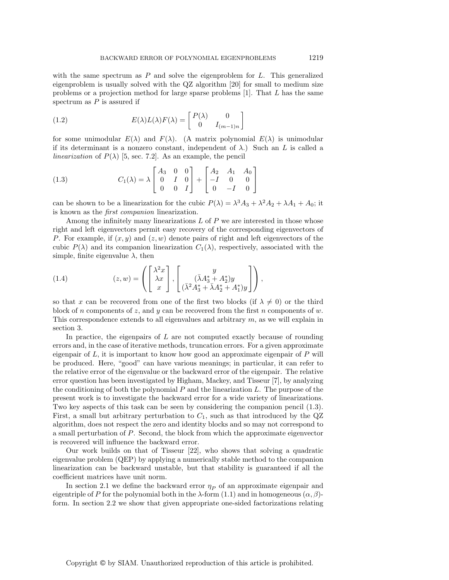with the same spectrum as  $P$  and solve the eigenproblem for  $L$ . This generalized eigenproblem is usually solved with the QZ algorithm [20] for small to medium size problems or a projection method for large sparse problems  $[1]$ . That L has the same spectrum as  $P$  is assured if

(1.2) 
$$
E(\lambda)L(\lambda)F(\lambda) = \begin{bmatrix} P(\lambda) & 0 \\ 0 & I_{(m-1)n} \end{bmatrix}
$$

for some unimodular  $E(\lambda)$  and  $F(\lambda)$ . (A matrix polynomial  $E(\lambda)$  is unimodular if its determinant is a nonzero constant, independent of  $\lambda$ .) Such an L is called a *linearization* of  $P(\lambda)$  [5, sec. 7.2]. As an example, the pencil

(1.3) 
$$
C_1(\lambda) = \lambda \begin{bmatrix} A_3 & 0 & 0 \\ 0 & I & 0 \\ 0 & 0 & I \end{bmatrix} + \begin{bmatrix} A_2 & A_1 & A_0 \\ -I & 0 & 0 \\ 0 & -I & 0 \end{bmatrix}
$$

can be shown to be a linearization for the cubic  $P(\lambda) = \lambda^3 A_3 + \lambda^2 A_2 + \lambda A_1 + A_0$ ; it is known as the first companion linearization.

Among the infinitely many linearizations  $L$  of  $P$  we are interested in those whose right and left eigenvectors permit easy recovery of the corresponding eigenvectors of P. For example, if  $(x, y)$  and  $(z, w)$  denote pairs of right and left eigenvectors of the cubic  $P(\lambda)$  and its companion linearization  $C_1(\lambda)$ , respectively, associated with the simple, finite eigenvalue  $\lambda$ , then

(1.4) 
$$
(z, w) = \left( \begin{bmatrix} \lambda^2 x \\ \lambda x \\ x \end{bmatrix}, \begin{bmatrix} y \\ (\bar{\lambda} A_3^* + A_2^*) y \\ (\bar{\lambda}^2 A_3^* + \bar{\lambda} A_2^* + A_1^*) y \end{bmatrix} \right),
$$

so that x can be recovered from one of the first two blocks (if  $\lambda \neq 0$ ) or the third block of n components of z, and y can be recovered from the first n components of w. This correspondence extends to all eigenvalues and arbitrary  $m$ , as we will explain in section 3.

In practice, the eigenpairs of  $L$  are not computed exactly because of rounding errors and, in the case of iterative methods, truncation errors. For a given approximate eigenpair of  $L$ , it is important to know how good an approximate eigenpair of  $P$  will be produced. Here, "good" can have various meanings; in particular, it can refer to the relative error of the eigenvalue or the backward error of the eigenpair. The relative error question has been investigated by Higham, Mackey, and Tisseur [7], by analyzing the conditioning of both the polynomial  $P$  and the linearization  $L$ . The purpose of the present work is to investigate the backward error for a wide variety of linearizations. Two key aspects of this task can be seen by considering the companion pencil (1.3). First, a small but arbitrary perturbation to  $C_1$ , such as that introduced by the QZ algorithm, does not respect the zero and identity blocks and so may not correspond to a small perturbation of P. Second, the block from which the approximate eigenvector is recovered will influence the backward error.

Our work builds on that of Tisseur [22], who shows that solving a quadratic eigenvalue problem (QEP) by applying a numerically stable method to the companion linearization can be backward unstable, but that stability is guaranteed if all the coefficient matrices have unit norm.

In section 2.1 we define the backward error  $\eta_P$  of an approximate eigenpair and eigentriple of P for the polynomial both in the  $\lambda$ -form (1.1) and in homogeneous  $(\alpha, \beta)$ form. In section 2.2 we show that given appropriate one-sided factorizations relating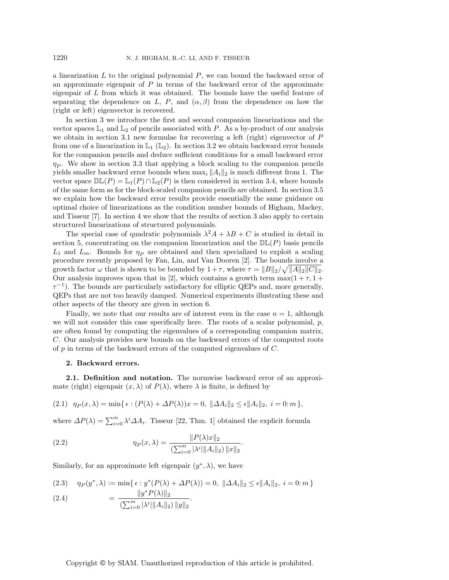a linearization  $L$  to the original polynomial  $P$ , we can bound the backward error of an approximate eigenpair of  $P$  in terms of the backward error of the approximate eigenpair of  $L$  from which it was obtained. The bounds have the useful feature of separating the dependence on L, P, and  $(\alpha, \beta)$  from the dependence on how the (right or left) eigenvector is recovered.

In section 3 we introduce the first and second companion linearizations and the vector spaces  $\mathbb{L}_1$  and  $\mathbb{L}_2$  of pencils associated with P. As a by-product of our analysis we obtain in section 3.1 new formulae for recovering a left (right) eigenvector of P from one of a linearization in  $\mathbb{L}_1$  ( $\mathbb{L}_2$ ). In section 3.2 we obtain backward error bounds for the companion pencils and deduce sufficient conditions for a small backward error  $\eta_P$ . We show in section 3.3 that applying a block scaling to the companion pencils yields smaller backward error bounds when  $\max_i ||A_i||_2$  is much different from 1. The vector space  $\mathbb{DL}(P) = \mathbb{L}_1(P) \cap \mathbb{L}_2(P)$  is then considered in section 3.4, where bounds of the same form as for the block-scaled companion pencils are obtained. In section 3.5 we explain how the backward error results provide essentially the same guidance on optimal choice of linearizations as the condition number bounds of Higham, Mackey, and Tisseur [7]. In section 4 we show that the results of section 3 also apply to certain structured linearizations of structured polynomials.

The special case of quadratic polynomials  $\lambda^2 A + \lambda B + C$  is studied in detail in section 5, concentrating on the companion linearization and the  $D\mathbb{L}(P)$  basis pencils  $L_1$  and  $L_m$ . Bounds for  $\eta_P$  are obtained and then specialized to exploit a scaling procedure recently proposed by Fan, Lin, and Van Dooren [2]. The bounds involve a growth factor  $\omega$  that is shown to be bounded by  $1+\tau$ , where  $\tau = ||B||_2/\sqrt{||A||_2||C||_2}$ . Our analysis improves upon that in [2], which contains a growth term  $\max(1 + \tau, 1 + \tau)$  $\tau^{-1}$ ). The bounds are particularly satisfactory for elliptic QEPs and, more generally, QEPs that are not too heavily damped. Numerical experiments illustrating these and other aspects of the theory are given in section 6.

Finally, we note that our results are of interest even in the case  $n = 1$ , although we will not consider this case specifically here. The roots of a scalar polynomial,  $p$ , are often found by computing the eigenvalues of a corresponding companion matrix, C. Our analysis provides new bounds on the backward errors of the computed roots of  $p$  in terms of the backward errors of the computed eigenvalues of  $C$ .

#### **2. Backward errors.**

**2.1. Definition and notation.** The normwise backward error of an approximate (right) eigenpair  $(x, \lambda)$  of  $P(\lambda)$ , where  $\lambda$  is finite, is defined by

(2.1) 
$$
\eta_P(x,\lambda) = \min\{\epsilon : (P(\lambda) + \Delta P(\lambda))x = 0, \|\Delta A_i\|_2 \le \epsilon \|A_i\|_2, i = 0; m\},\
$$

where  $\Delta P(\lambda) = \sum_{i=0}^{m} \lambda^i \Delta A_i$ . Tisseur [22, Thm. 1] obtained the explicit formula

(2.2) 
$$
\eta_P(x,\lambda) = \frac{\|P(\lambda)x\|_2}{\left(\sum_{i=0}^m |\lambda^i| \|A_i\|_2\right) \|x\|_2}.
$$

Similarly, for an approximate left eigenpair  $(y^*, \lambda)$ , we have

(2.3) 
$$
\eta_P(y^*, \lambda) := \min\{\epsilon : y^*(P(\lambda) + \Delta P(\lambda)) = 0, \ \|\Delta A_i\|_2 \le \epsilon \|A_i\|_2, \ i = 0; m\}
$$

$$
(2.4) \qquad \qquad = \frac{\|y^* P(\lambda)\|_2}{(\sum_{i=0}^m |\lambda^i| \|A_i\|_2) \|y\|_2}.
$$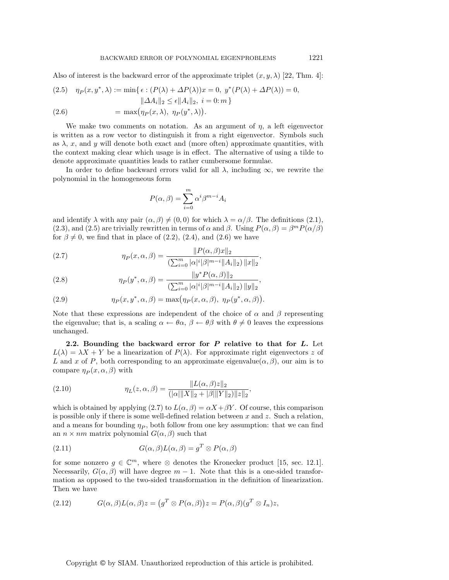Also of interest is the backward error of the approximate triplet  $(x, y, \lambda)$  [22, Thm. 4]:

(2.5) 
$$
\eta_P(x, y^*, \lambda) := \min\{\epsilon : (P(\lambda) + \Delta P(\lambda))x = 0, y^*(P(\lambda) + \Delta P(\lambda)) = 0, \|\Delta A_i\|_2 \le \epsilon \|A_i\|_2, i = 0; m\}
$$

(2.6) = 
$$
\max(\eta_P(x,\lambda), \eta_P(y^*,\lambda)).
$$

We make two comments on notation. As an argument of  $\eta$ , a left eigenvector is written as a row vector to distinguish it from a right eigenvector. Symbols such as  $\lambda$ , x, and y will denote both exact and (more often) approximate quantities, with the context making clear which usage is in effect. The alternative of using a tilde to denote approximate quantities leads to rather cumbersome formulae.

In order to define backward errors valid for all  $\lambda$ , including  $\infty$ , we rewrite the polynomial in the homogeneous form

$$
P(\alpha, \beta) = \sum_{i=0}^{m} \alpha^{i} \beta^{m-i} A_{i}
$$

and identify  $\lambda$  with any pair  $(\alpha, \beta) \neq (0, 0)$  for which  $\lambda = \alpha/\beta$ . The definitions (2.1), (2.3), and (2.5) are trivially rewritten in terms of  $\alpha$  and  $\beta$ . Using  $P(\alpha, \beta) = \beta^m P(\alpha/\beta)$ for  $\beta \neq 0$ , we find that in place of (2.2), (2.4), and (2.6) we have

(2.7) 
$$
\eta_P(x, \alpha, \beta) = \frac{\|P(\alpha, \beta)x\|_2}{\left(\sum_{i=0}^m |\alpha|^i |\beta|^{m-i} \|A_i\|_2\right) \|x\|_2},
$$

(2.8) 
$$
\eta_P(y^*, \alpha, \beta) = \frac{\|y^* P(\alpha, \beta)\|_2}{\left(\sum_{i=0}^m |\alpha|^i |\beta|^{m-i} \|A_i\|_2\right) \|y\|_2},
$$

(2.9) 
$$
\eta_P(x, y^*, \alpha, \beta) = \max(\eta_P(x, \alpha, \beta), \eta_P(y^*, \alpha, \beta)).
$$

Note that these expressions are independent of the choice of  $\alpha$  and  $\beta$  representing the eigenvalue; that is, a scaling  $\alpha \leftarrow \theta \alpha$ ,  $\beta \leftarrow \theta \beta$  with  $\theta \neq 0$  leaves the expressions unchanged.

**2.2. Bounding the backward error for** *P* **relative to that for** *L***.** Let  $L(\lambda) = \lambda X + Y$  be a linearization of  $P(\lambda)$ . For approximate right eigenvectors z of L and x of P, both corresponding to an approximate eigenvalue $(\alpha, \beta)$ , our aim is to compare  $\eta_P(x, \alpha, \beta)$  with

(2.10) 
$$
\eta_L(z,\alpha,\beta) = \frac{\|L(\alpha,\beta)z\|_2}{(\|\alpha\| \|X\|_2 + \|\beta\| \|Y\|_2)\|z\|_2},
$$

which is obtained by applying (2.7) to  $L(\alpha, \beta) = \alpha X + \beta Y$ . Of course, this comparison is possible only if there is some well-defined relation between  $x$  and  $z$ . Such a relation, and a means for bounding  $\eta_P$ , both follow from one key assumption: that we can find an  $n \times nm$  matrix polynomial  $G(\alpha, \beta)$  such that

(2.11) 
$$
G(\alpha, \beta)L(\alpha, \beta) = g^T \otimes P(\alpha, \beta)
$$

for some nonzero  $g \in \mathbb{C}^m$ , where ⊗ denotes the Kronecker product [15, sec. 12.1]. Necessarily,  $G(\alpha, \beta)$  will have degree  $m-1$ . Note that this is a one-sided transformation as opposed to the two-sided transformation in the definition of linearization. Then we have

(2.12) 
$$
G(\alpha, \beta)L(\alpha, \beta)z = (g^T \otimes P(\alpha, \beta))z = P(\alpha, \beta)(g^T \otimes I_n)z,
$$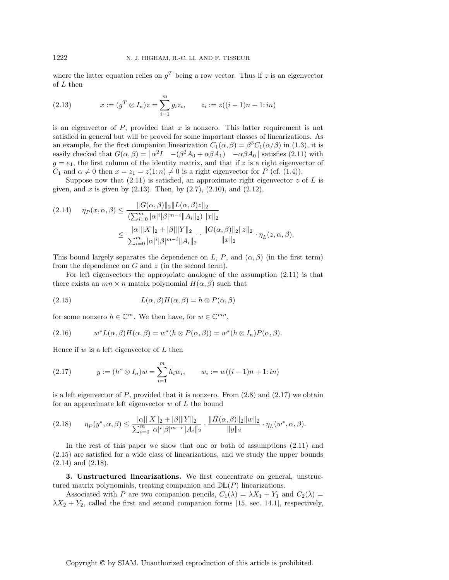where the latter equation relies on  $q<sup>T</sup>$  being a row vector. Thus if z is an eigenvector of L then

(2.13) 
$$
x := (g^T \otimes I_n)z = \sum_{i=1}^m g_i z_i, \qquad z_i := z((i-1)n + 1:in)
$$

is an eigenvector of  $P$ , provided that  $x$  is nonzero. This latter requirement is not satisfied in general but will be proved for some important classes of linearizations. As an example, for the first companion linearization  $C_1(\alpha, \beta) = \beta^3 C_1(\alpha/\beta)$  in (1.3), it is easily checked that  $G(\alpha, \beta) = [\alpha^2 I \quad -(\beta^2 A_0 + \alpha \beta A_1) \quad -\alpha \beta A_0]$  satisfies (2.11) with  $g = e_1$ , the first column of the identity matrix, and that if z is a right eigenvector of  $C_1$  and  $\alpha \neq 0$  then  $x = z_1 = z(1:n) \neq 0$  is a right eigenvector for P (cf. (1.4)).

Suppose now that  $(2.11)$  is satisfied, an approximate right eigenvector z of L is given, and x is given by  $(2.13)$ . Then, by  $(2.7)$ ,  $(2.10)$ , and  $(2.12)$ ,

$$
(2.14) \quad \eta_P(x,\alpha,\beta) \le \frac{\|G(\alpha,\beta)\|_2 \|L(\alpha,\beta)z\|_2}{(\sum_{i=0}^m |\alpha|^i |\beta|^{m-i} \|A_i\|_2) \|x\|_2}
$$

$$
\le \frac{|\alpha| \|X\|_2 + |\beta| \|Y\|_2}{\sum_{i=0}^m |\alpha|^i |\beta|^{m-i} \|A_i\|_2} \cdot \frac{\|G(\alpha,\beta)\|_2 \|z\|_2}{\|x\|_2} \cdot \eta_L(z,\alpha,\beta).
$$

This bound largely separates the dependence on L, P, and  $(\alpha, \beta)$  (in the first term) from the dependence on  $G$  and  $z$  (in the second term).

For left eigenvectors the appropriate analogue of the assumption (2.11) is that there exists an  $mn \times n$  matrix polynomial  $H(\alpha, \beta)$  such that

(2.15) 
$$
L(\alpha, \beta)H(\alpha, \beta) = h \otimes P(\alpha, \beta)
$$

for some nonzero  $h \in \mathbb{C}^m$ . We then have, for  $w \in \mathbb{C}^{mn}$ ,

(2.16) 
$$
w^* L(\alpha, \beta) H(\alpha, \beta) = w^* (h \otimes P(\alpha, \beta)) = w^* (h \otimes I_n) P(\alpha, \beta).
$$

Hence if  $w$  is a left eigenvector of  $L$  then

(2.17) 
$$
y := (h^* \otimes I_n)w = \sum_{i=1}^m \overline{h}_i w_i, \qquad w_i := w((i-1)n + 1:in)
$$

is a left eigenvector of  $P$ , provided that it is nonzero. From  $(2.8)$  and  $(2.17)$  we obtain for an approximate left eigenvector  $w$  of  $L$  the bound

$$
(2.18) \qquad \eta_P(y^*, \alpha, \beta) \le \frac{|\alpha| \|X\|_2 + |\beta| \|Y\|_2}{\sum_{i=0}^m |\alpha|^i |\beta|^{m-i} \|A_i\|_2} \cdot \frac{\|H(\alpha, \beta)\|_2 \|w\|_2}{\|y\|_2} \cdot \eta_L(w^*, \alpha, \beta).
$$

In the rest of this paper we show that one or both of assumptions (2.11) and (2.15) are satisfied for a wide class of linearizations, and we study the upper bounds (2.14) and (2.18).

**3. Unstructured linearizations.** We first concentrate on general, unstructured matrix polynomials, treating companion and  $D\mathbb{L}(P)$  linearizations.

Associated with P are two companion pencils,  $C_1(\lambda) = \lambda X_1 + Y_1$  and  $C_2(\lambda) =$  $\lambda X_2 + Y_2$ , called the first and second companion forms [15, sec. 14.1], respectively,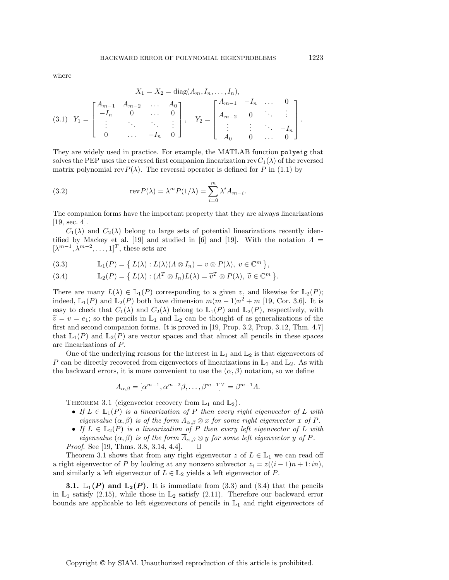where

$$
X_1 = X_2 = \text{diag}(A_m, I_n, \dots, I_n),
$$
  
(3.1)  $Y_1 = \begin{bmatrix} A_{m-1} & A_{m-2} & \dots & A_0 \\ -I_n & 0 & \dots & 0 \\ \vdots & \ddots & \ddots & \vdots \\ 0 & \dots & -I_n & 0 \end{bmatrix}, Y_2 = \begin{bmatrix} A_{m-1} & -I_n & \dots & 0 \\ A_{m-2} & 0 & \ddots & \vdots \\ \vdots & \vdots & \ddots & -I_n \\ A_0 & 0 & \dots & 0 \end{bmatrix}.$ 

They are widely used in practice. For example, the MATLAB function polyeig that solves the PEP uses the reversed first companion linearization rev $C_1(\lambda)$  of the reversed matrix polynomial rev $P(\lambda)$ . The reversal operator is defined for P in (1.1) by

(3.2) 
$$
\operatorname{rev} P(\lambda) = \lambda^m P(1/\lambda) = \sum_{i=0}^m \lambda^i A_{m-i}.
$$

The companion forms have the important property that they are always linearizations [19, sec. 4].

 $C_1(\lambda)$  and  $C_2(\lambda)$  belong to large sets of potential linearizations recently identified by Mackey et al. [19] and studied in [6] and [19]. With the notation  $\Lambda =$  $[\lambda^{m-1}, \lambda^{m-2}, \ldots, 1]^T$ , these sets are

(3.3) 
$$
\mathbb{L}_1(P) = \{ L(\lambda) : L(\lambda)(\Lambda \otimes I_n) = v \otimes P(\lambda), v \in \mathbb{C}^m \},
$$

(3.4) 
$$
\mathbb{L}_2(P) = \{ L(\lambda) : (A^T \otimes I_n)L(\lambda) = \tilde{v}^T \otimes P(\lambda), \ \tilde{v} \in \mathbb{C}^m \}.
$$

There are many  $L(\lambda) \in \mathbb{L}_1(P)$  corresponding to a given v, and likewise for  $\mathbb{L}_2(P)$ ; indeed,  $\mathbb{L}_1(P)$  and  $\mathbb{L}_2(P)$  both have dimension  $m(m-1)n^2 + m$  [19, Cor. 3.6]. It is easy to check that  $C_1(\lambda)$  and  $C_2(\lambda)$  belong to  $\mathbb{L}_1(P)$  and  $\mathbb{L}_2(P)$ , respectively, with  $\tilde{v} = v = e_1$ ; so the pencils in  $\mathbb{L}_1$  and  $\mathbb{L}_2$  can be thought of as generalizations of the first and second companion forms. It is proved in [19, Prop. 3.2, Prop. 3.12, Thm. 4.7] that  $\mathbb{L}_1(P)$  and  $\mathbb{L}_2(P)$  are vector spaces and that almost all pencils in these spaces are linearizations of P.

One of the underlying reasons for the interest in  $\mathbb{L}_1$  and  $\mathbb{L}_2$  is that eigenvectors of P can be directly recovered from eigenvectors of linearizations in  $\mathbb{L}_1$  and  $\mathbb{L}_2$ . As with the backward errors, it is more convenient to use the  $(\alpha, \beta)$  notation, so we define

$$
\Lambda_{\alpha,\beta} = [\alpha^{m-1}, \alpha^{m-2}\beta, \dots, \beta^{m-1}]^T = \beta^{m-1}\Lambda.
$$

THEOREM 3.1 (eigenvector recovery from  $\mathbb{L}_1$  and  $\mathbb{L}_2$ ).

- If  $L \in \mathbb{L}_1(P)$  is a linearization of P then every right eigenvector of L with eigenvalue  $(\alpha, \beta)$  is of the form  $\Lambda_{\alpha,\beta} \otimes x$  for some right eigenvector x of P.
- If  $L \in \mathbb{L}_2(P)$  is a linearization of P then every left eigenvector of L with eigenvalue  $(\alpha, \beta)$  is of the form  $\Lambda_{\alpha,\beta} \otimes y$  for some left eigenvector y of P. Proof. See [19, Thms. 3.8, 3.14, 4.4].  $\Box$

Theorem 3.1 shows that from any right eigenvector  $z$  of  $L \in \mathbb{L}_1$  we can read off a right eigenvector of P by looking at any nonzero subvector  $z_i = z((i - 1)n + 1:in)$ , and similarly a left eigenvector of  $L \in \mathbb{L}_2$  yields a left eigenvector of P.

**3.1.**  $\mathbb{L}_1(P)$  and  $\mathbb{L}_2(P)$ . It is immediate from (3.3) and (3.4) that the pencils in  $\mathbb{L}_1$  satisfy (2.15), while those in  $\mathbb{L}_2$  satisfy (2.11). Therefore our backward error bounds are applicable to left eigenvectors of pencils in  $\mathbb{L}_1$  and right eigenvectors of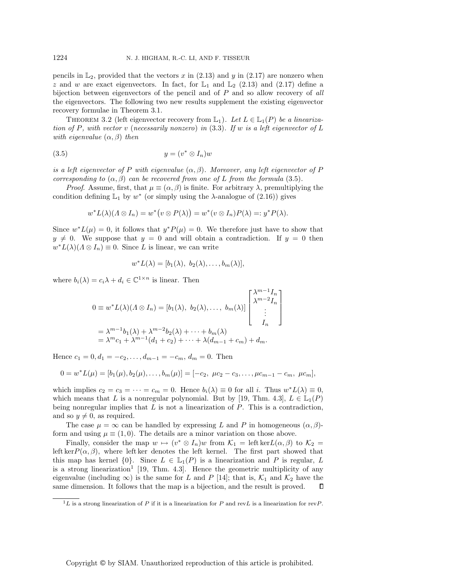pencils in  $\mathbb{L}_2$ , provided that the vectors x in (2.13) and y in (2.17) are nonzero when z and w are exact eigenvectors. In fact, for  $\mathbb{L}_1$  and  $\mathbb{L}_2$  (2.13) and (2.17) define a bijection between eigenvectors of the pencil and of  $P$  and so allow recovery of all the eigenvectors. The following two new results supplement the existing eigenvector recovery formulae in Theorem 3.1.

THEOREM 3.2 (left eigenvector recovery from  $\mathbb{L}_1$ ). Let  $L \in \mathbb{L}_1(P)$  be a linearization of P, with vector v (necessarily nonzero) in  $(3.3)$ . If w is a left eigenvector of L with eigenvalue  $(\alpha, \beta)$  then

$$
(3.5) \t\t y = (v^* \otimes I_n)w
$$

is a left eigenvector of P with eigenvalue  $(\alpha, \beta)$ . Moreover, any left eigenvector of P corresponding to  $(\alpha, \beta)$  can be recovered from one of L from the formula (3.5).

*Proof.* Assume, first, that  $\mu \equiv (\alpha, \beta)$  is finite. For arbitrary  $\lambda$ , premultiplying the condition defining  $\mathbb{L}_1$  by  $w^*$  (or simply using the  $\lambda$ -analogue of (2.16)) gives

$$
w^*L(\lambda)(\Lambda\otimes I_n)=w^*\big(v\otimes P(\lambda)\big)=w^*(v\otimes I_n)P(\lambda)=:y^*P(\lambda).
$$

Since  $w^*L(\mu) = 0$ , it follows that  $y^*P(\mu) = 0$ . We therefore just have to show that  $y \neq 0$ . We suppose that  $y = 0$  and will obtain a contradiction. If  $y = 0$  then  $w^*L(\lambda)(\Lambda\otimes I_n)\equiv 0$ . Since L is linear, we can write

$$
w^*L(\lambda)=[b_1(\lambda), b_2(\lambda),...,b_m(\lambda)],
$$

where  $b_i(\lambda) = c_i \lambda + d_i \in \mathbb{C}^{1 \times n}$  is linear. Then

$$
0 \equiv w^* L(\lambda)(\Lambda \otimes I_n) = [b_1(\lambda), b_2(\lambda), \dots, b_m(\lambda)] \begin{bmatrix} \lambda^{m-1} I_n \\ \lambda^{m-2} I_n \\ \vdots \\ I_n \end{bmatrix}
$$
  
=  $\lambda^{m-1} b_1(\lambda) + \lambda^{m-2} b_2(\lambda) + \dots + b_m(\lambda)$   
=  $\lambda^m c_1 + \lambda^{m-1} (d_1 + c_2) + \dots + \lambda (d_{m-1} + c_m) + d_m.$ 

Hence  $c_1 = 0, d_1 = -c_2, \ldots, d_{m-1} = -c_m, d_m = 0$ . Then

$$
0 = w^*L(\mu) = [b_1(\mu), b_2(\mu), \dots, b_m(\mu)] = [-c_2, \ \mu c_2 - c_3, \dots, \mu c_{m-1} - c_m, \ \mu c_m],
$$

which implies  $c_2 = c_3 = \cdots = c_m = 0$ . Hence  $b_i(\lambda) \equiv 0$  for all i. Thus  $w^*L(\lambda) \equiv 0$ , which means that L is a nonregular polynomial. But by [19, Thm. 4.3],  $L \in \mathbb{L}_1(P)$ being nonregular implies that  $L$  is not a linearization of  $P$ . This is a contradiction, and so  $y \neq 0$ , as required.

The case  $\mu = \infty$  can be handled by expressing L and P in homogeneous  $(\alpha, \beta)$ form and using  $\mu \equiv (1,0)$ . The details are a minor variation on those above.

Finally, consider the map  $w \mapsto (v^* \otimes I_n)w$  from  $\mathcal{K}_1 = \text{left ker }L(\alpha, \beta)$  to  $\mathcal{K}_2 =$ left ker $P(\alpha, \beta)$ , where left ker denotes the left kernel. The first part showed that this map has kernel  $\{0\}$ . Since  $L \in \mathbb{L}_{1}(P)$  is a linearization and P is regular, L is a strong linearization<sup>1</sup> [19, Thm. 4.3]. Hence the geometric multiplicity of any eigenvalue (including  $\infty$ ) is the same for L and P [14]; that is,  $\mathcal{K}_1$  and  $\mathcal{K}_2$  have the same dimension. It follows that the map is a bijection, and the result is proved.

 ${}^{1}L$  is a strong linearization of P if it is a linearization for P and revL is a linearization for revP.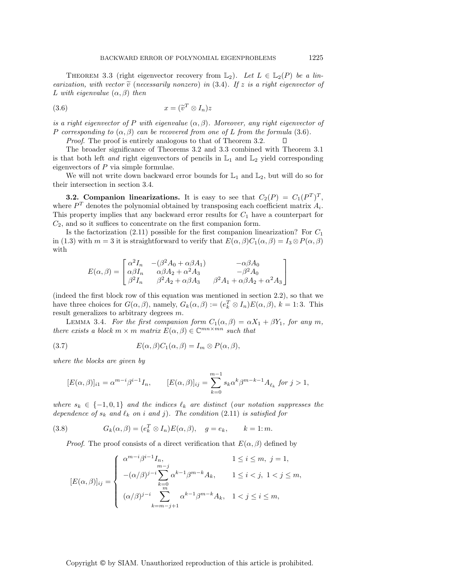THEOREM 3.3 (right eigenvector recovery from  $\mathbb{L}_2$ ). Let  $L \in \mathbb{L}_2(P)$  be a linearization, with vector  $\tilde{v}$  (necessarily nonzero) in (3.4). If z is a right eigenvector of L with eigenvalue  $(\alpha, \beta)$  then

(3.6) 
$$
x = (\tilde{v}^T \otimes I_n)z
$$

is a right eigenvector of P with eigenvalue  $(\alpha, \beta)$ . Moreover, any right eigenvector of P corresponding to  $(\alpha, \beta)$  can be recovered from one of L from the formula (3.6).

Proof. The proof is entirely analogous to that of Theorem 3.2. П

The broader significance of Theorems 3.2 and 3.3 combined with Theorem 3.1 is that both left and right eigenvectors of pencils in  $\mathbb{L}_1$  and  $\mathbb{L}_2$  yield corresponding eigenvectors of P via simple formulae.

We will not write down backward error bounds for  $\mathbb{L}_1$  and  $\mathbb{L}_2$ , but will do so for their intersection in section 3.4.

**3.2. Companion linearizations.** It is easy to see that  $C_2(P) = C_1(P^T)^T$ , where  $P<sup>T</sup>$  denotes the polynomial obtained by transposing each coefficient matrix  $A<sub>i</sub>$ . This property implies that any backward error results for  $C_1$  have a counterpart for  $C_2$ , and so it suffices to concentrate on the first companion form.

Is the factorization (2.11) possible for the first companion linearization? For  $C_1$ in (1.3) with  $m = 3$  it is straightforward to verify that  $E(\alpha, \beta)C_1(\alpha, \beta) = I_3 \otimes P(\alpha, \beta)$ with

$$
E(\alpha,\beta)=\begin{bmatrix} \alpha^2 I_n & -(\beta^2 A_0 + \alpha\beta A_1) & -\alpha\beta A_0 \\ \alpha\beta I_n & \alpha\beta A_2 + \alpha^2 A_3 & -\beta^2 A_0 \\ \beta^2 I_n & \beta^2 A_2 + \alpha\beta A_3 & \beta^2 A_1 + \alpha\beta A_2 + \alpha^2 A_3 \end{bmatrix}
$$

(indeed the first block row of this equation was mentioned in section 2.2), so that we have three choices for  $G(\alpha, \beta)$ , namely,  $G_k(\alpha, \beta) := (e_k^T \otimes I_n)E(\alpha, \beta)$ ,  $k = 1:3$ . This result generalizes to arbitrary degrees m.

LEMMA 3.4. For the first companion form  $C_1(\alpha, \beta) = \alpha X_1 + \beta Y_1$ , for any m, there exists a block  $m \times m$  matrix  $E(\alpha, \beta) \in \mathbb{C}^{mn \times mn}$  such that

(3.7) 
$$
E(\alpha, \beta)C_1(\alpha, \beta) = I_m \otimes P(\alpha, \beta),
$$

where the blocks are given by

$$
[E(\alpha,\beta)]_{i1} = \alpha^{m-i}\beta^{i-1}I_n, \qquad [E(\alpha,\beta)]_{ij} = \sum_{k=0}^{m-1} s_k \alpha^k \beta^{m-k-1} A_{\ell_k} \text{ for } j > 1,
$$

where  $s_k \in \{-1,0,1\}$  and the indices  $\ell_k$  are distinct (our notation suppresses the dependence of  $s_k$  and  $\ell_k$  on i and j). The condition (2.11) is satisfied for

(3.8) 
$$
G_k(\alpha, \beta) = (e_k^T \otimes I_n) E(\alpha, \beta), \quad g = e_k, \qquad k = 1; m.
$$

*Proof.* The proof consists of a direct verification that  $E(\alpha, \beta)$  defined by

$$
[E(\alpha,\beta)]_{ij} = \begin{cases} \alpha^{m-i}\beta^{i-1}I_n, & 1 \le i \le m, \ j = 1, \\ -( \alpha/\beta)^{j-i} \sum_{k=0}^{m-j} \alpha^{k-1}\beta^{m-k}A_k, & 1 \le i < j, \ 1 < j \le m, \\ (\alpha/\beta)^{j-i} \sum_{k=m-j+1}^{m} \alpha^{k-1}\beta^{m-k}A_k, & 1 < j \le i \le m, \end{cases}
$$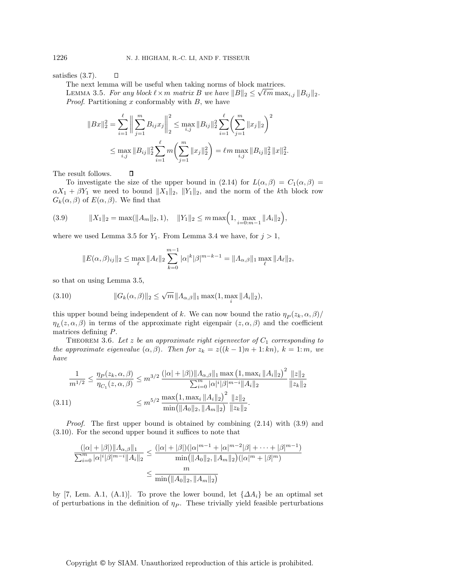satisfies (3.7).  $\Box$ 

The next lemma will be useful when taking norms of block matrices.

The next lemma will be useful when taking norms of block matrices.<br>LEMMA 3.5. For any block  $\ell \times m$  matrix B we have  $||B||_2 \leq \sqrt{\ell m} \max_{i,j} ||B_{ij}||_2$ . *Proof.* Partitioning x conformably with  $B$ , we have

$$
||Bx||_2^2 = \sum_{i=1}^{\ell} \left\| \sum_{j=1}^m B_{ij} x_j \right\|_2^2 \le \max_{i,j} ||B_{ij}||_2^2 \sum_{i=1}^{\ell} \left( \sum_{j=1}^m ||x_j||_2 \right)^2
$$
  

$$
\le \max_{i,j} ||B_{ij}||_2^2 \sum_{i=1}^{\ell} m \left( \sum_{j=1}^m ||x_j||_2^2 \right) = \ell m \max_{i,j} ||B_{ij}||_2^2 ||x||_2^2.
$$

The result follows.

 $\Box$ 

To investigate the size of the upper bound in (2.14) for  $L(\alpha, \beta) = C_1(\alpha, \beta)$  $\alpha X_1 + \beta Y_1$  we need to bound  $||X_1||_2$ ,  $||Y_1||_2$ , and the norm of the kth block row  $G_k(\alpha, \beta)$  of  $E(\alpha, \beta)$ . We find that

$$
(3.9) \t\t\t ||X_1||_2 = \max(||A_m||_2, 1), \t ||Y_1||_2 \le m \max\Big(1, \max_{i=0:m-1} ||A_i||_2\Big),
$$

where we used Lemma 3.5 for  $Y_1$ . From Lemma 3.4 we have, for  $j > 1$ ,

$$
||E(\alpha,\beta)_{ij}||_2 \leq \max_{\ell} ||A_{\ell}||_2 \sum_{k=0}^{m-1} |\alpha|^k |\beta|^{m-k-1} = ||A_{\alpha,\beta}||_1 \max_{\ell} ||A_{\ell}||_2,
$$

so that on using Lemma 3.5,

(3.10) 
$$
||G_k(\alpha, \beta)||_2 \le \sqrt{m} ||A_{\alpha, \beta}||_1 \max(1, \max_i ||A_i||_2),
$$

this upper bound being independent of k. We can now bound the ratio  $\eta_P(z_k, \alpha, \beta)$ /  $\eta_L(z,\alpha,\beta)$  in terms of the approximate right eigenpair  $(z,\alpha,\beta)$  and the coefficient matrices defining P.

THEOREM 3.6. Let z be an approximate right eigenvector of  $C_1$  corresponding to the approximate eigenvalue  $(\alpha, \beta)$ . Then for  $z_k = z((k-1)n + 1: kn)$ ,  $k = 1:m$ , we have

$$
\frac{1}{m^{1/2}} \le \frac{\eta_P(z_k, \alpha, \beta)}{\eta_{C_1}(z, \alpha, \beta)} \le m^{3/2} \frac{(|\alpha| + |\beta|) ||A_{\alpha, \beta}||_1 \max(1, \max_i ||A_i||_2)^2 ||z||_2}{\sum_{i=0}^m |\alpha|^i |\beta|^{m-i} ||A_i||_2} \frac{||z||_2}{||z_k||_2}
$$
\n
$$
(3.11) \le m^{5/2} \frac{\max(1, \max_i ||A_i||_2)^2 ||z||_2}{\min(||A_0||_2, ||A_m||_2)} \frac{||z||_2}{||z_k||_2}.
$$

*Proof.* The first upper bound is obtained by combining  $(2.14)$  with  $(3.9)$  and (3.10). For the second upper bound it suffices to note that

$$
\frac{(|\alpha|+|\beta|)\|A_{\alpha,\beta}\|_1}{\sum_{i=0}^m |\alpha|^i|\beta|^{m-i}\|A_i\|_2} \le \frac{(|\alpha|+|\beta|)(|\alpha|^{m-1}+|\alpha|^{m-2}|\beta|+\cdots+|\beta|^{m-1})}{\min(\|A_0\|_2, \|A_m\|_2)(|\alpha|^m+|\beta|^m)}
$$
  

$$
\le \frac{m}{\min(\|A_0\|_2, \|A_m\|_2)}
$$

by [7, Lem. A.1, (A.1)]. To prove the lower bound, let  $\{\Delta A_i\}$  be an optimal set of perturbations in the definition of  $\eta_P$ . These trivially yield feasible perturbations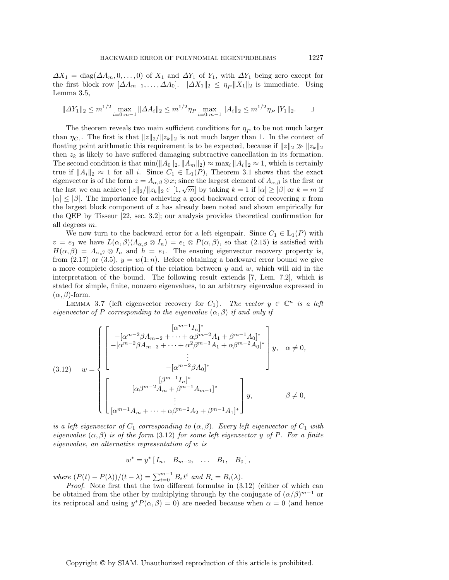$\Delta X_1 = \text{diag}(\Delta A_m, 0, \ldots, 0)$  of  $X_1$  and  $\Delta Y_1$  of  $Y_1$ , with  $\Delta Y_1$  being zero except for the first block row  $[\Delta A_{m-1}, \ldots, \Delta A_0]$ .  $\|\Delta X_1\|_2 \leq \eta_P \|X_1\|_2$  is immediate. Using Lemma 3.5,

$$
\|\Delta Y_1\|_2 \le m^{1/2} \max_{i=0:m-1} \|\Delta A_i\|_2 \le m^{1/2} \eta P \max_{i=0:m-1} \|A_i\|_2 \le m^{1/2} \eta P \|Y_1\|_2.
$$

The theorem reveals two main sufficient conditions for  $\eta_P$  to be not much larger than  $\eta_{C_1}$ . The first is that  $||z||_2/||z_k||_2$  is not much larger than 1. In the context of floating point arithmetic this requirement is to be expected, because if  $||z||_2 \gg ||z_k||_2$ then  $z_k$  is likely to have suffered damaging subtractive cancellation in its formation. The second condition is that  $\min(\|A_0\|_2, \|A_m\|_2) \approx \max_i \|A_i\|_2 \approx 1$ , which is certainly true if  $||A_i||_2 \approx 1$  for all i. Since  $C_1 \in L_1(P)$ , Theorem 3.1 shows that the exact eigenvector is of the form  $z = \Lambda_{\alpha,\beta} \otimes x$ ; since the largest element of  $\Lambda_{\alpha,\beta}$  is the first or the last we can achieve  $||z||_2/||z_k||_2 \in [1, \sqrt{m}]$  by taking  $k = 1$  if  $|\alpha| \geq |\beta|$  or  $k = m$  if  $|\alpha| \leq |\beta|$ . The importance for achieving a good backward error of recovering x from the largest block component of  $z$  has already been noted and shown empirically for the QEP by Tisseur [22, sec. 3.2]; our analysis provides theoretical confirmation for all degrees m.

We now turn to the backward error for a left eigenpair. Since  $C_1 \in L_1(P)$  with  $v = e_1$  we have  $L(\alpha, \beta)(\Lambda_{\alpha, \beta} \otimes I_n) = e_1 \otimes P(\alpha, \beta)$ , so that  $(2.15)$  is satisfied with  $H(\alpha, \beta) = \Lambda_{\alpha, \beta} \otimes I_n$  and  $h = e_1$ . The ensuing eigenvector recovery property is, from (2.17) or (3.5),  $y = w(1:n)$ . Before obtaining a backward error bound we give a more complete description of the relation between  $y$  and  $w$ , which will aid in the interpretation of the bound. The following result extends [7, Lem. 7.2], which is stated for simple, finite, nonzero eigenvalues, to an arbitrary eigenvalue expressed in  $(\alpha, \beta)$ -form.

LEMMA 3.7 (left eigenvector recovery for  $C_1$ ). The vector  $y \in \mathbb{C}^n$  is a left eigenvector of P corresponding to the eigenvalue  $(\alpha, \beta)$  if and only if

$$
(3.12) \quad w = \begin{cases} \begin{bmatrix} [\alpha^{m-1}I_n]^* \\ -[\alpha^{m-2}\beta A_{m-2} + \dots + \alpha\beta^{m-2}A_1 + \beta^{m-1}A_0]^* \\ -[\alpha^{m-2}\beta A_{m-3} + \dots + \alpha^2\beta^{m-3}A_1 + \alpha\beta^{m-2}A_0]^* \\ \vdots \\ -[\alpha^{m-2}\beta A_0]^* \end{bmatrix} y, & \alpha \neq 0, \\ [\alpha\beta^{m-2}A_m + \beta^{m-1}A_{m-1}]^* \\ \begin{bmatrix} [\alpha\beta^{m-2}A_m + \beta^{m-2}A_2 + \beta^{m-1}A_1]^* \end{bmatrix} y, & \beta \neq 0, \end{cases}
$$

is a left eigenvector of  $C_1$  corresponding to  $(\alpha, \beta)$ . Every left eigenvector of  $C_1$  with eigenvalue  $(\alpha, \beta)$  is of the form (3.12) for some left eigenvector y of P. For a finite eigenvalue, an alternative representation of w is

$$
w^* = y^* [I_n, B_{m-2}, \ldots B_1, B_0],
$$

where  $(P(t) - P(\lambda))/(t - \lambda) = \sum_{i=0}^{m-1} B_i t^i$  and  $B_i = B_i(\lambda)$ .

Proof. Note first that the two different formulae in  $(3.12)$  (either of which can be obtained from the other by multiplying through by the conjugate of  $(\alpha/\beta)^{m-1}$  or its reciprocal and using  $y^*P(\alpha, \beta) = 0$  are needed because when  $\alpha = 0$  (and hence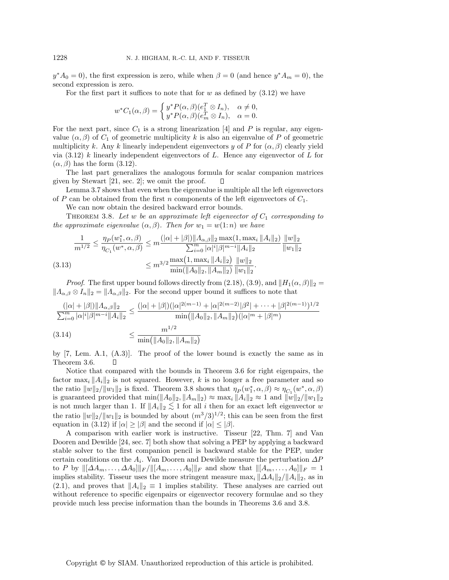$y^*A_0 = 0$ , the first expression is zero, while when  $\beta = 0$  (and hence  $y^*A_m = 0$ ), the second expression is zero.

For the first part it suffices to note that for  $w$  as defined by  $(3.12)$  we have

$$
w^*C_1(\alpha, \beta) = \begin{cases} y^*P(\alpha, \beta)(e_1^T \otimes I_n), & \alpha \neq 0, \\ y^*P(\alpha, \beta)(e_m^T \otimes I_n), & \alpha = 0. \end{cases}
$$

For the next part, since  $C_1$  is a strong linearization [4] and P is regular, any eigenvalue  $(\alpha, \beta)$  of  $C_1$  of geometric multiplicity k is also an eigenvalue of P of geometric multiplicity k. Any k linearly independent eigenvectors y of P for  $(\alpha, \beta)$  clearly yield via  $(3.12)$  k linearly independent eigenvectors of L. Hence any eigenvector of L for  $(\alpha, \beta)$  has the form  $(3.12)$ .

The last part generalizes the analogous formula for scalar companion matrices given by Stewart [21, sec. 2]; we omit the proof. П

Lemma 3.7 shows that even when the eigenvalue is multiple all the left eigenvectors of P can be obtained from the first n components of the left eigenvectors of  $C_1$ .

We can now obtain the desired backward error bounds.

THEOREM 3.8. Let w be an approximate left eigenvector of  $C_1$  corresponding to the approximate eigenvalue  $(\alpha, \beta)$ . Then for  $w_1 = w(1:n)$  we have

$$
\frac{1}{m^{1/2}} \le \frac{\eta_P(w_1^*, \alpha, \beta)}{\eta_{C_1}(w^*, \alpha, \beta)} \le m \frac{(|\alpha| + |\beta|) ||A_{\alpha, \beta}||_2 \max(1, \max_i ||A_i||_2)}{\sum_{i=0}^m |\alpha|^i |\beta|^{m-i} ||A_i||_2} \frac{||w||_2}{||w_1||_2}
$$
\n
$$
(3.13) \le m^{3/2} \frac{\max(1, \max_i ||A_i||_2)}{\min(||A_0||_2, ||A_m||_2)} \frac{||w||_2}{||w_1||_2}.
$$

*Proof.* The first upper bound follows directly from (2.18), (3.9), and  $||H_1(\alpha, \beta)||_2 =$  $||A_{\alpha,\beta} \otimes I_n||_2 = ||A_{\alpha,\beta}||_2$ . For the second upper bound it suffices to note that

$$
\frac{(|\alpha| + |\beta|) ||A_{\alpha,\beta}||_2}{\sum_{i=0}^m |\alpha|^i |\beta|^{m-i} ||A_i||_2} \le \frac{(|\alpha| + |\beta|)(|\alpha|^{2(m-1)} + |\alpha|^{2(m-2)} |\beta^2| + \dots + |\beta|^{2(m-1)})^{1/2}}{\min(||A_0||_2, ||A_m||_2)(|\alpha|^m + |\beta|^m)}
$$
\n(3.14)\n
$$
\le \frac{m^{1/2}}{\min(||A_0||_2, ||A_m||_2)}
$$

by [7, Lem. A.1, (A.3)]. The proof of the lower bound is exactly the same as in Theorem 3.6. П

Notice that compared with the bounds in Theorem 3.6 for right eigenpairs, the factor  $\max_i ||A_i||_2$  is not squared. However, k is no longer a free parameter and so the ratio  $||w||_2/||w_1||_2$  is fixed. Theorem 3.8 shows that  $\eta_P(w_1^*, \alpha, \beta) \approx \eta_{C_1}(w^*, \alpha, \beta)$ is guaranteed provided that  $\min(\|A_0\|_2, \|A_m\|_2) \approx \max_i \|A_i\|_2 \approx 1$  and  $\|w\|_2/\|w_1\|_2$ is not much larger than 1. If  $||A_i||_2 \lesssim 1$  for all i then for an exact left eigenvector w the ratio  $||w||_2/||w_1||_2$  is bounded by about  $(m^3/3)^{1/2}$ ; this can be seen from the first equation in (3.12) if  $|\alpha| \geq |\beta|$  and the second if  $|\alpha| \leq |\beta|$ .

A comparison with earlier work is instructive. Tisseur [22, Thm. 7] and Van Dooren and Dewilde [24, sec. 7] both show that solving a PEP by applying a backward stable solver to the first companion pencil is backward stable for the PEP, under certain conditions on the  $A_i$ . Van Dooren and Dewilde measure the perturbation  $\Delta P$ to P by  $\|[\Delta A_m, \ldots, \Delta A_0]\|_F / \|[A_m, \ldots, A_0]\|_F$  and show that  $\|[A_m, \ldots, A_0]\|_F = 1$ implies stability. Tisseur uses the more stringent measure  $\max_i ||\Delta A_i||_2/||A_i||_2$ , as in (2.1), and proves that  $||A_i||_2 \equiv 1$  implies stability. These analyses are carried out without reference to specific eigenpairs or eigenvector recovery formulae and so they provide much less precise information than the bounds in Theorems 3.6 and 3.8.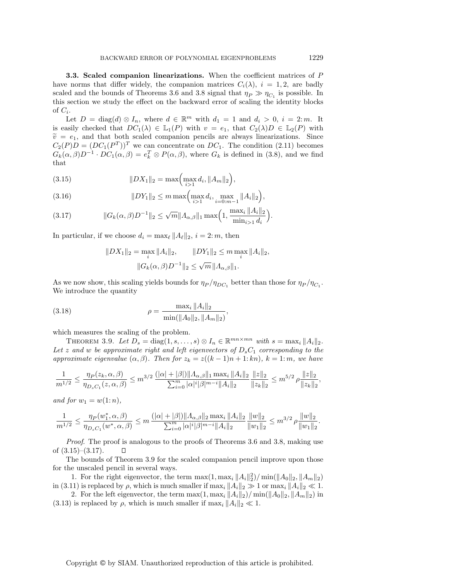**3.3. Scaled companion linearizations.** When the coefficient matrices of P have norms that differ widely, the companion matrices  $C_i(\lambda)$ ,  $i = 1, 2$ , are badly scaled and the bounds of Theorems 3.6 and 3.8 signal that  $\eta_P \gg \eta_{C_1}$  is possible. In this section we study the effect on the backward error of scaling the identity blocks of  $C_i$ .

Let  $D = \text{diag}(d) \otimes I_n$ , where  $d \in \mathbb{R}^m$  with  $d_1 = 1$  and  $d_i > 0$ ,  $i = 2$ : m. It is easily checked that  $DC_1(\lambda) \in \mathbb{L}_1(P)$  with  $v = e_1$ , that  $C_2(\lambda)D \in \mathbb{L}_2(P)$  with  $\tilde{v} = e_1$ , and that both scaled companion pencils are always linearizations. Since  $C_2(P)D = (DC_1(P^T))^T$  we can concentrate on  $DC_1$ . The condition (2.11) becomes  $G_k(\alpha, \beta)D^{-1} \cdot DC_1(\alpha, \beta) = e_k^T \otimes P(\alpha, \beta)$ , where  $G_k$  is defined in (3.8), and we find that

(3.15) 
$$
||DX_1||_2 = \max\left(\max_{i>1} d_i, ||A_m||_2\right),
$$

(3.16) 
$$
||DY_1||_2 \leq m \max\left(\max_{i>1} d_i, \max_{i=0:m-1} ||A_i||_2\right),
$$

(3.17) 
$$
||G_k(\alpha, \beta)D^{-1}||_2 \le \sqrt{m}||\Lambda_{\alpha, \beta}||_1 \max\left(1, \frac{\max_i ||A_i||_2}{\min_{i>1} d_i}\right).
$$

In particular, if we choose  $d_i = \max_{\ell} ||A_{\ell}||_2$ ,  $i = 2: m$ , then

$$
||DX_1||_2 = \max_i ||A_i||_2, \qquad ||DY_1||_2 \le m \max_i ||A_i||_2, ||G_k(\alpha, \beta)D^{-1}||_2 \le \sqrt{m} ||A_{\alpha, \beta}||_1.
$$

As we now show, this scaling yields bounds for  $\eta_P / \eta_{DC_1}$  better than those for  $\eta_P / \eta_{C_1}$ . We introduce the quantity

(3.18) 
$$
\rho = \frac{\max_{i} \|A_{i}\|_{2}}{\min(\|A_{0}\|_{2}, \|A_{m}\|_{2})},
$$

which measures the scaling of the problem.

THEOREM 3.9. Let  $D_s = \text{diag}(1, s, \ldots, s) \otimes I_n \in \mathbb{R}^{mn \times mn}$  with  $s = \max_i ||A_i||_2$ . Let z and w be approximate right and left eigenvectors of  $D_sC_1$  corresponding to the approximate eigenvalue  $(\alpha, \beta)$ . Then for  $z_k = z((k-1)n + 1: kn)$ ,  $k = 1: m$ , we have

$$
\frac{1}{m^{1/2}} \le \frac{\eta_P(z_k, \alpha, \beta)}{\eta_{D_s C_1}(z, \alpha, \beta)} \le m^{3/2} \frac{(|\alpha| + |\beta|) ||A_{\alpha, \beta}||_1 \max_i ||A_i||_2}{\sum_{i=0}^m |\alpha|^i |\beta|^{m-i} ||A_i||_2} \frac{||z||_2}{||z_k||_2} \le m^{5/2} \rho \frac{||z||_2}{||z_k||_2},
$$

and for  $w_1 = w(1:n)$ ,

$$
\frac{1}{m^{1/2}} \leq \frac{\eta_P(w_1^*,\alpha,\beta)}{\eta_{D_sC_1}(w^*,\alpha,\beta)} \leq m\, \frac{(|\alpha|+|\beta|)\|\varLambda_{\alpha,\beta}\|_2\max_i\|A_i\|_2}{\sum_{i=0}^m|\alpha|^i|\beta|^{m-i}\|\varLambda_i\|_2}\frac{\|w\|_2}{\|w_1\|_2} \leq m^{3/2}\,\rho\frac{\|w\|_2}{\|w_1\|_2}
$$

Proof. The proof is analogous to the proofs of Theorems 3.6 and 3.8, making use of  $(3.15)-(3.17)$ .  $\Box$ 

The bounds of Theorem 3.9 for the scaled companion pencil improve upon those for the unscaled pencil in several ways.

1. For the right eigenvector, the term  $\max(1, \max_i ||A_i||_2^2) / \min(||A_0||_2, ||A_m||_2)$ in (3.11) is replaced by  $\rho$ , which is much smaller if  $\max_i \|A_i\|_2 \gg 1$  or  $\max_i \|A_i\|_2 \ll 1$ .

2. For the left eigenvector, the term  $\max(1, \max_i ||A_i||_2)/\min(||A_0||_2, ||A_m||_2)$  in (3.13) is replaced by  $\rho$ , which is much smaller if max<sub>i</sub>  $||A_i||_2 \ll 1$ .

Copyright © by SIAM. Unauthorized reproduction of this article is prohibited.

.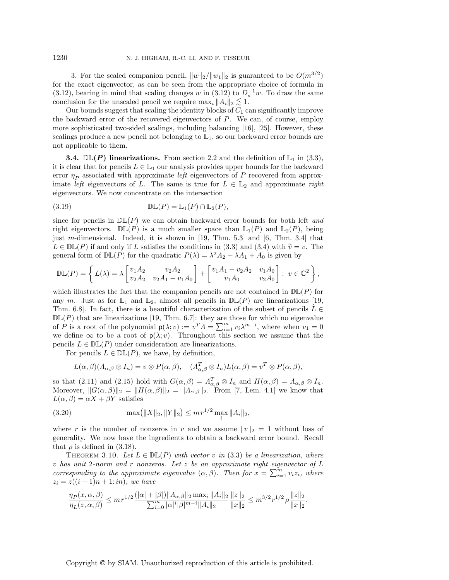3. For the scaled companion pencil,  $||w||_2/||w_1||_2$  is guaranteed to be  $O(m^{3/2})$ for the exact eigenvector, as can be seen from the appropriate choice of formula in (3.12), bearing in mind that scaling changes w in (3.12) to  $D_s^{-1}w$ . To draw the same conclusion for the unscaled pencil we require  $\max_i ||A_i||_2 \lesssim 1$ .

Our bounds suggest that scaling the identity blocks of  $C_1$  can significantly improve the backward error of the recovered eigenvectors of P. We can, of course, employ more sophisticated two-sided scalings, including balancing [16], [25]. However, these scalings produce a new pencil not belonging to  $\mathbb{L}_1$ , so our backward error bounds are not applicable to them.

**3.4.**  $\mathbb{DL}(P)$  linearizations. From section 2.2 and the definition of  $\mathbb{L}_1$  in (3.3), it is clear that for pencils  $L \in \mathbb{L}_1$  our analysis provides upper bounds for the backward error  $\eta_P$  associated with approximate *left* eigenvectors of P recovered from approximate left eigenvectors of L. The same is true for  $L \in \mathbb{L}_2$  and approximate right eigenvectors. We now concentrate on the intersection

(3.19) 
$$
\mathbb{DL}(P) = \mathbb{L}_1(P) \cap \mathbb{L}_2(P),
$$

since for pencils in  $D\mathbb{L}(P)$  we can obtain backward error bounds for both left and right eigenvectors.  $\mathbb{DL}(P)$  is a much smaller space than  $\mathbb{L}_1(P)$  and  $\mathbb{L}_2(P)$ , being just m-dimensional. Indeed, it is shown in [19, Thm. 5.3] and [6, Thm. 3.4] that  $L \in \mathbb{DL}(P)$  if and only if L satisfies the conditions in (3.3) and (3.4) with  $\tilde{v} = v$ . The general form of  $\mathbb{DL}(P)$  for the quadratic  $P(\lambda) = \lambda^2 A_2 + \lambda A_1 + A_0$  is given by

$$
\mathbb{DL}(P) = \left\{ L(\lambda) = \lambda \begin{bmatrix} v_1 A_2 & v_2 A_2 \\ v_2 A_2 & v_2 A_1 - v_1 A_0 \end{bmatrix} + \begin{bmatrix} v_1 A_1 - v_2 A_2 & v_1 A_0 \\ v_1 A_0 & v_2 A_0 \end{bmatrix} : v \in \mathbb{C}^2 \right\},\
$$

which illustrates the fact that the companion pencils are not contained in  $D\mathbb{L}(P)$  for any m. Just as for  $\mathbb{L}_1$  and  $\mathbb{L}_2$ , almost all pencils in  $\mathbb{DL}(P)$  are linearizations [19, Thm. 6.8]. In fact, there is a beautiful characterization of the subset of pencils  $L \in$  $D/L(P)$  that are linearizations [19, Thm. 6.7]: they are those for which no eigenvalue of P is a root of the polynomial  $p(\lambda; v) := v^T A = \sum_{i=1}^m v_i \lambda^{m-i}$ , where when  $v_1 = 0$ we define  $\infty$  to be a root of  $p(\lambda; v)$ . Throughout this section we assume that the pencils  $L \in \mathbb{DL}(P)$  under consideration are linearizations.

For pencils  $L \in \mathbb{DL}(P)$ , we have, by definition,

$$
L(\alpha, \beta)(\Lambda_{\alpha, \beta} \otimes I_n) = v \otimes P(\alpha, \beta), \quad (\Lambda_{\alpha, \beta}^T \otimes I_n) L(\alpha, \beta) = v^T \otimes P(\alpha, \beta),
$$

so that (2.11) and (2.15) hold with  $G(\alpha, \beta) = \Lambda_{\alpha,\beta}^T \otimes I_n$  and  $H(\alpha, \beta) = \Lambda_{\alpha,\beta} \otimes I_n$ . Moreover,  $||G(\alpha, \beta)||_2 = ||H(\alpha, \beta)||_2 = ||A_{\alpha, \beta}||_2$ . From [7, Lem. 4.1] we know that  $L(\alpha, \beta) = \alpha X + \beta Y$  satisfies

(3.20) 
$$
\max(||X||_2, ||Y||_2) \le m r^{1/2} \max_i ||A_i||_2,
$$

where r is the number of nonzeros in v and we assume  $||v||_2 = 1$  without loss of generality. We now have the ingredients to obtain a backward error bound. Recall that  $\rho$  is defined in (3.18).

THEOREM 3.10. Let  $L \in \mathbb{DL}(P)$  with vector v in (3.3) be a linearization, where  $v$  has unit 2-norm and r nonzeros. Let  $z$  be an approximate right eigenvector of  $L$ corresponding to the approximate eigenvalue  $(\alpha, \beta)$ . Then for  $x = \sum_{i=1}^{m} v_i z_i$ , where  $z_i = z((i - 1)n + 1:in)$ , we have

$$
\frac{\eta_P(x,\alpha,\beta)}{\eta_L(z,\alpha,\beta)} \le m\,r^{1/2}\frac{(|\alpha|+|\beta|)\|\Lambda_{\alpha,\beta}\|_2\max_i\|A_i\|_2}{\sum_{i=0}^m|\alpha|^i|\beta|^{m-i}\|A_i\|_2}\frac{\|z\|_2}{\|x\|_2} \le m^{3/2}r^{1/2}\,\rho\frac{\|z\|_2}{\|x\|_2}.
$$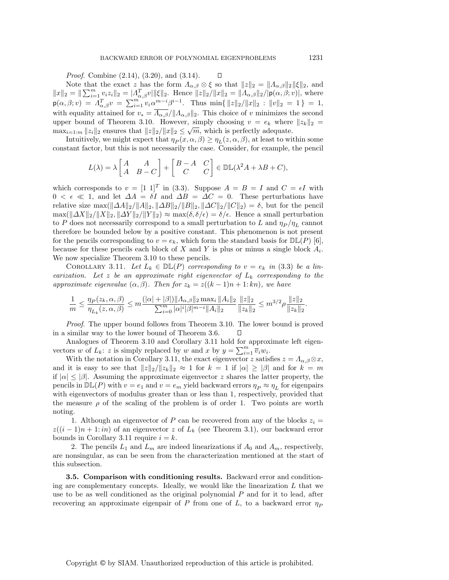$\Box$ 

Proof. Combine (2.14), (3.20), and (3.14).

Note that the exact z has the form  $\Lambda_{\alpha,\beta} \otimes \xi$  so that  $||z||_2 = ||\Lambda_{\alpha,\beta}||_2 ||\xi||_2$ , and  $||x||_2 = ||\sum_{i=1}^m v_i z_i||_2 = |A_{\alpha,\beta}^T v| ||\xi||_2$ . Hence  $||z||_2 / ||x||_2 = ||A_{\alpha,\beta}||_2 / ||p(\alpha,\beta; v)|$ , where  $p(\alpha, \beta; v) = \Lambda_{\alpha, \beta}^T v = \sum_{i=1}^{m} v_i \alpha^{m-i} \beta^{i-1}$ . Thus  $\min\{||z||_2/||x||_2 : ||v||_2 = 1\} = 1$ , with equality attained for  $v_* = \overline{\Lambda_{\alpha,\beta}}/||\Lambda_{\alpha,\beta}||_2$ . This choice of v minimizes the second upper bound of Theorem 3.10. However, simply choosing  $v = e_k$  where  $||z_k||_2 =$  $\max_{i=1:m} ||z_i||_2$  ensures that  $||z||_2/||x||_2 \leq \sqrt{m}$ , which is perfectly adequate.

Intuitively, we might expect that  $\eta_P(x, \alpha, \beta) \geq \eta_L(z, \alpha, \beta)$ , at least to within some constant factor, but this is not necessarily the case. Consider, for example, the pencil

$$
L(\lambda) = \lambda \begin{bmatrix} A & A \\ A & B - C \end{bmatrix} + \begin{bmatrix} B - A & C \\ C & C \end{bmatrix} \in \mathbb{DL}(\lambda^2 A + \lambda B + C),
$$

which corresponds to  $v = [1 \ 1]^T$  in (3.3). Suppose  $A = B = I$  and  $C = \epsilon I$  with  $0 < \epsilon \ll 1$ , and let  $\Delta A = \delta I$  and  $\Delta B = \Delta C = 0$ . These perturbations have relative size  $\max(\|\Delta A\|_2/\|A\|_2, \|\Delta B\|_2/\|B\|_2, \|\Delta C\|_2/\|C\|_2) = \delta$ , but for the pencil  $\max(\|\Delta X\|_2/\|X\|_2, \|\Delta Y\|_2/\|Y\|_2) \approx \max(\delta, \delta/\epsilon) = \delta/\epsilon$ . Hence a small perturbation to P does not necessarily correspond to a small perturbation to L and  $\eta_P / \eta_L$  cannot therefore be bounded below by a positive constant. This phenomenon is not present for the pencils corresponding to  $v = e_k$ , which form the standard basis for  $D\mathbb{L}(P)$  [6], because for these pencils each block of X and Y is plus or minus a single block  $A_i$ . We now specialize Theorem 3.10 to these pencils.

COROLLARY 3.11. Let  $L_k \in \mathbb{DL}(P)$  corresponding to  $v = e_k$  in (3.3) be a linearization. Let z be an approximate right eigenvector of  $L_k$  corresponding to the approximate eigenvalue  $(\alpha, \beta)$ . Then for  $z_k = z((k-1)n + 1: kn)$ , we have

$$
\frac{1}{m} \leq \frac{\eta_P(z_k, \alpha, \beta)}{\eta_{L_k}(z, \alpha, \beta)} \leq m \frac{(|\alpha| + |\beta|) \|A_{\alpha, \beta}\|_2 \max_i \|A_i\|_2}{\sum_{i=0}^m |\alpha|^i |\beta|^{m-i} \|A_i\|_2} \frac{\|z\|_2}{\|z_k\|_2} \leq m^{3/2} \rho \frac{\|z\|_2}{\|z_k\|_2}.
$$

Proof. The upper bound follows from Theorem 3.10. The lower bound is proved in a similar way to the lower bound of Theorem 3.6.  $\Box$ 

Analogues of Theorem 3.10 and Corollary 3.11 hold for approximate left eigenvectors w of  $L_k$ : z is simply replaced by w and x by  $y = \sum_{i=1}^m \overline{v}_i w_i$ .

With the notation in Corollary 3.11, the exact eigenvector z satisfies  $z = \Lambda_{\alpha,\beta} \otimes x$ , and it is easy to see that  $||z||_2/||z_k||_2 \approx 1$  for  $k = 1$  if  $|\alpha| \geq |\beta|$  and for  $k = m$ if  $|\alpha| \leq |\beta|$ . Assuming the approximate eigenvector z shares the latter property, the pencils in  $\mathbb{DL}(P)$  with  $v = e_1$  and  $v = e_m$  yield backward errors  $\eta_P \approx \eta_L$  for eigenpairs with eigenvectors of modulus greater than or less than 1, respectively, provided that the measure  $\rho$  of the scaling of the problem is of order 1. Two points are worth noting.

1. Although an eigenvector of P can be recovered from any of the blocks  $z_i =$  $z((i-1)n+1:in)$  of an eigenvector z of  $L_k$  (see Theorem 3.1), our backward error bounds in Corollary 3.11 require  $i = k$ .

2. The pencils  $L_1$  and  $L_m$  are indeed linearizations if  $A_0$  and  $A_m$ , respectively, are nonsingular, as can be seen from the characterization mentioned at the start of this subsection.

**3.5. Comparison with conditioning results.** Backward error and conditioning are complementary concepts. Ideally, we would like the linearization  $L$  that we use to be as well conditioned as the original polynomial  $P$  and for it to lead, after recovering an approximate eigenpair of P from one of L, to a backward error  $\eta_P$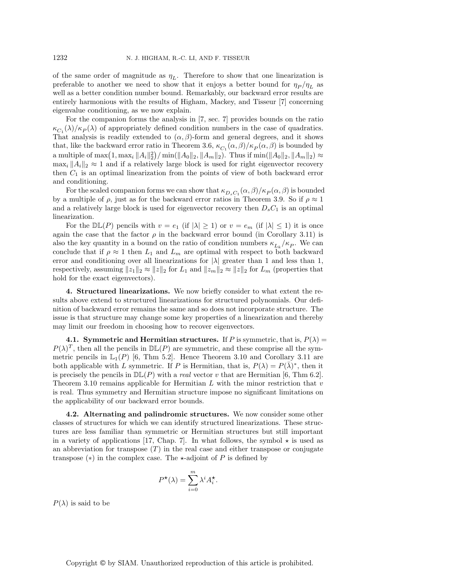of the same order of magnitude as  $\eta_L$ . Therefore to show that one linearization is preferable to another we need to show that it enjoys a better bound for  $\eta_P / \eta_L$  as well as a better condition number bound. Remarkably, our backward error results are entirely harmonious with the results of Higham, Mackey, and Tisseur [7] concerning eigenvalue conditioning, as we now explain.

For the companion forms the analysis in [7, sec. 7] provides bounds on the ratio  $\kappa_{C_1}(\lambda)/\kappa_P(\lambda)$  of appropriately defined condition numbers in the case of quadratics. That analysis is readily extended to  $(\alpha, \beta)$ -form and general degrees, and it shows that, like the backward error ratio in Theorem 3.6,  $\kappa_{C_1}(\alpha, \beta)/\kappa_P(\alpha, \beta)$  is bounded by a multiple of  $\max(1, \max_i \|A_i\|_2^2) / \min(\|A_0\|_2, \|A_m\|_2)$ . Thus if  $\min(\|A_0\|_2, \|A_m\|_2) \approx$  $\max_i \|A_i\|_2 \approx 1$  and if a relatively large block is used for right eigenvector recovery then  $C_1$  is an optimal linearization from the points of view of both backward error and conditioning.

For the scaled companion forms we can show that  $\kappa_{D_{\infty}C_1}(\alpha,\beta)/\kappa_P(\alpha,\beta)$  is bounded by a multiple of  $\rho$ , just as for the backward error ratios in Theorem 3.9. So if  $\rho \approx 1$ and a relatively large block is used for eigenvector recovery then  $D<sub>s</sub>C<sub>1</sub>$  is an optimal linearization.

For the  $\mathbb{DL}(P)$  pencils with  $v = e_1$  (if  $|\lambda| \geq 1$ ) or  $v = e_m$  (if  $|\lambda| \leq 1$ ) it is once again the case that the factor  $\rho$  in the backward error bound (in Corollary 3.11) is also the key quantity in a bound on the ratio of condition numbers  $\kappa_{L_k}/\kappa_P$ . We can conclude that if  $\rho \approx 1$  then  $L_1$  and  $L_m$  are optimal with respect to both backward error and conditioning over all linearizations for  $|\lambda|$  greater than 1 and less than 1, respectively, assuming  $||z_1||_2 \approx ||z||_2$  for  $L_1$  and  $||z_m||_2 \approx ||z||_2$  for  $L_m$  (properties that hold for the exact eigenvectors).

**4. Structured linearizations.** We now briefly consider to what extent the results above extend to structured linearizations for structured polynomials. Our definition of backward error remains the same and so does not incorporate structure. The issue is that structure may change some key properties of a linearization and thereby may limit our freedom in choosing how to recover eigenvectors.

**4.1. Symmetric and Hermitian structures.** If P is symmetric, that is,  $P(\lambda)$  =  $P(\lambda)^T$ , then all the pencils in  $D\mathbb{L}(P)$  are symmetric, and these comprise all the symmetric pencils in  $\mathbb{L}_1(P)$  [6, Thm 5.2]. Hence Theorem 3.10 and Corollary 3.11 are both applicable with L symmetric. If P is Hermitian, that is,  $P(\lambda) = P(\overline{\lambda})^*$ , then it is precisely the pencils in  $D\mathbb{L}(P)$  with a *real* vector v that are Hermitian [6, Thm 6.2]. Theorem 3.10 remains applicable for Hermitian  $L$  with the minor restriction that  $v$ is real. Thus symmetry and Hermitian structure impose no significant limitations on the applicability of our backward error bounds.

**4.2. Alternating and palindromic structures.** We now consider some other classes of structures for which we can identify structured linearizations. These structures are less familiar than symmetric or Hermitian structures but still important in a variety of applications [17, Chap. 7]. In what follows, the symbol  $\star$  is used as an abbreviation for transpose  $(T)$  in the real case and either transpose or conjugate transpose  $(*)$  in the complex case. The  $\star$ -adjoint of P is defined by

$$
P^{\star}(\lambda) = \sum_{i=0}^{m} \lambda^{i} A_{i}^{\star}.
$$

 $P(\lambda)$  is said to be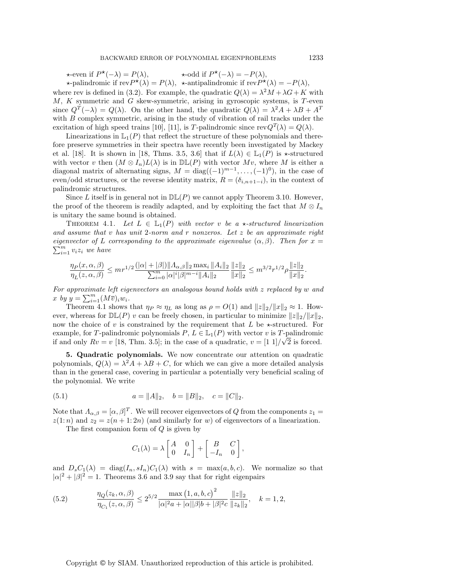$\star$ -even if  $P^{\star}(-\lambda) = P(\lambda)$ ,  $\star$ -odd if  $P^{\star}(-\lambda) = -P(\lambda)$ ,

 $\star$ -palindromic if rev $P^{\star}(\lambda) = P(\lambda)$ ,  $\star$ -antipalindromic if rev $P^{\star}(\lambda) = -P(\lambda)$ , where rev is defined in (3.2). For example, the quadratic  $Q(\lambda) = \lambda^2 M + \lambda G + K$  with  $M, K$  symmetric and G skew-symmetric, arising in gyroscopic systems, is T-even since  $Q^T(-\lambda) = Q(\lambda)$ . On the other hand, the quadratic  $Q(\lambda) = \lambda^2 A + \lambda B + A^T$ with  $B$  complex symmetric, arising in the study of vibration of rail tracks under the excitation of high speed trains [10], [11], is T-palindromic since  $revQ^{T}(\lambda) = Q(\lambda)$ .

Linearizations in  $\mathbb{L}_1(P)$  that reflect the structure of these polynomials and therefore preserve symmetries in their spectra have recently been investigated by Mackey et al. [18]. It is shown in [18, Thms. 3.5, 3.6] that if  $L(\lambda) \in \mathbb{L}_1(P)$  is  $\star$ -structured with vector v then  $(M \otimes I_n)L(\lambda)$  is in  $D\mathbb{L}(P)$  with vector  $Mv$ , where M is either a diagonal matrix of alternating signs,  $M = diag((-1)^{m-1}, \ldots, (-1)^0)$ , in the case of even/odd structures, or the reverse identity matrix,  $R = (\delta_{i,n+1-i})$ , in the context of palindromic structures.

Since L itself is in general not in  $D\mathbb{L}(P)$  we cannot apply Theorem 3.10. However, the proof of the theorem is readily adapted, and by exploiting the fact that  $M \otimes I_n$ is unitary the same bound is obtained.

THEOREM 4.1. Let  $L \in \mathbb{L}_1(P)$  with vector v be a  $\star$ -structured linearization and assume that v has unit 2-norm and r nonzeros. Let  $z$  be an approximate right eigenvector of L corresponding to the approximate eigenvalue  $(\alpha, \beta)$ . Then for  $x = \sum_{m=1}^{m} x^m$  is the house  $\sum_{i=1}^{m} v_i z_i$  we have

$$
\frac{\eta_P(x,\alpha,\beta)}{\eta_L(z,\alpha,\beta)} \le m r^{1/2} \frac{(|\alpha|+|\beta|) \|A_{\alpha,\beta}\|_2 \max_i \|A_i\|_2 \|z\|_2}{\sum_{i=0}^m |\alpha|^i |\beta|^{m-i} \|A_i\|_2} \frac{\|z\|_2}{\|x\|_2} \le m^{3/2} r^{1/2} \rho \frac{\|z\|_2}{\|x\|_2}.
$$

For approximate left eigenvectors an analogous bound holds with z replaced by w and x by  $y = \sum_{i=1}^m (M\overline{v})_i w_i$ .

Theorem 4.1 shows that  $\eta_P \approx \eta_L$  as long as  $\rho = O(1)$  and  $||z||_2/||x||_2 \approx 1$ . However, whereas for  $\mathbb{DL}(P)$  v can be freely chosen, in particular to minimize  $||z||_2/||x||_2$ , now the choice of v is constrained by the requirement that L be  $\star$ -structured. For example, for T-palindromic polynomials  $P, L \in \mathbb{L}_{1}(P)$  with vector v is T-palindromic Example, for 1-palmaromic polynomials  $P, L \in L_1(P)$  with vector v is 1-palmaromic<br>if and only  $Rv = v$  [18, Thm. 3.5]; in the case of a quadratic,  $v = \frac{1}{1} \frac{1}{\sqrt{2}}$  is forced.

**5. Quadratic polynomials.** We now concentrate our attention on quadratic polynomials,  $Q(\lambda) = \lambda^2 A + \lambda B + C$ , for which we can give a more detailed analysis than in the general case, covering in particular a potentially very beneficial scaling of the polynomial. We write

(5.1) 
$$
a = ||A||_2, \quad b = ||B||_2, \quad c = ||C||_2.
$$

Note that  $\Lambda_{\alpha,\beta} = [\alpha,\beta]^T$ . We will recover eigenvectors of Q from the components  $z_1 =$  $z(1:n)$  and  $z_2 = z(n+1:2n)$  (and similarly for w) of eigenvectors of a linearization.

The first companion form of Q is given by

$$
C_1(\lambda) = \lambda \begin{bmatrix} A & 0 \\ 0 & I_n \end{bmatrix} + \begin{bmatrix} B & C \\ -I_n & 0 \end{bmatrix},
$$

and  $D_sC_1(\lambda) = \text{diag}(I_n, sI_n)C_1(\lambda)$  with  $s = \max(a, b, c)$ . We normalize so that  $|\alpha|^2 + |\beta|^2 = 1$ . Theorems 3.6 and 3.9 say that for right eigenpairs

(5.2) 
$$
\frac{\eta_Q(z_k, \alpha, \beta)}{\eta_{C_1}(z, \alpha, \beta)} \le 2^{5/2} \frac{\max(1, a, b, c)^2}{|\alpha|^2 a + |\alpha| |\beta| b + |\beta|^2 c} \frac{\|z\|_2}{\|z_k\|_2}, \quad k = 1, 2,
$$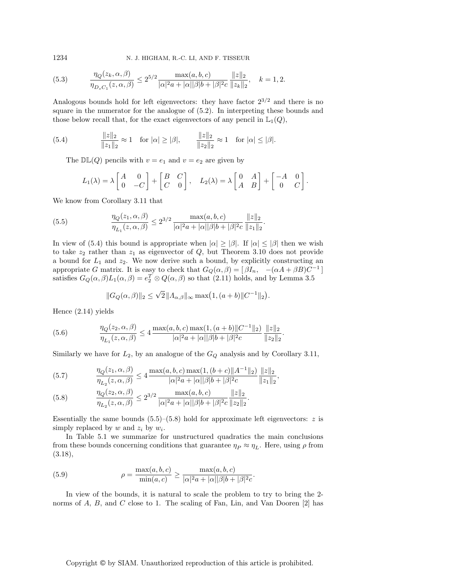1234 N. J. HIGHAM, R.-C. LI, AND F. TISSEUR

(5.3) 
$$
\frac{\eta_Q(z_k, \alpha, \beta)}{\eta_{D_s C_1}(z, \alpha, \beta)} \le 2^{5/2} \frac{\max(a, b, c)}{|\alpha|^2 a + |\alpha| |\beta| b + |\beta|^2 c} \frac{\|z\|_2}{\|z_k\|_2}, \quad k = 1, 2.
$$

Analogous bounds hold for left eigenvectors: they have factor  $2^{3/2}$  and there is no square in the numerator for the analogue of (5.2). In interpreting these bounds and those below recall that, for the exact eigenvectors of any pencil in  $\mathbb{L}_1(Q)$ ,

(5.4) 
$$
\frac{\|z\|_2}{\|z_1\|_2} \approx 1 \text{ for } |\alpha| \ge |\beta|, \qquad \frac{\|z\|_2}{\|z_2\|_2} \approx 1 \text{ for } |\alpha| \le |\beta|.
$$

The  $\mathbb{DL}(Q)$  pencils with  $v = e_1$  and  $v = e_2$  are given by

$$
L_1(\lambda) = \lambda \begin{bmatrix} A & 0 \\ 0 & -C \end{bmatrix} + \begin{bmatrix} B & C \\ C & 0 \end{bmatrix}, \quad L_2(\lambda) = \lambda \begin{bmatrix} 0 & A \\ A & B \end{bmatrix} + \begin{bmatrix} -A & 0 \\ 0 & C \end{bmatrix}
$$

.

We know from Corollary 3.11 that

(5.5) 
$$
\frac{\eta_Q(z_1,\alpha,\beta)}{\eta_{L_1}(z,\alpha,\beta)} \leq 2^{3/2} \frac{\max(a,b,c)}{|\alpha|^2 a + |\alpha||\beta|b + |\beta|^2 c} \frac{\|z\|_2}{\|z_1\|_2}.
$$

In view of (5.4) this bound is appropriate when  $|\alpha| \geq |\beta|$ . If  $|\alpha| \leq |\beta|$  then we wish to take  $z_2$  rather than  $z_1$  as eigenvector of  $Q$ , but Theorem 3.10 does not provide a bound for  $L_1$  and  $z_2$ . We now derive such a bound, by explicitly constructing an appropriate G matrix. It is easy to check that  $G_Q(\alpha, \beta) = [\beta I_n, -(\alpha A + \beta B)C^{-1}]$ satisfies  $G_Q(\alpha, \beta) L_1(\alpha, \beta) = e_2^T \otimes Q(\alpha, \beta)$  so that (2.11) holds, and by Lemma 3.5

$$
||G_Q(\alpha, \beta)||_2 \le \sqrt{2} ||A_{\alpha, \beta}||_{\infty} \max(1, (a+b) ||C^{-1}||_2).
$$

Hence (2.14) yields

(5.6) 
$$
\frac{\eta_Q(z_2, \alpha, \beta)}{\eta_{L_1}(z, \alpha, \beta)} \le 4 \frac{\max(a, b, c) \max(1, (a+b) \|C^{-1}\|_2)}{|\alpha|^2 a + |\alpha| |\beta| b + |\beta|^2 c} \frac{\|z\|_2}{\|z_2\|_2}.
$$

Similarly we have for  $L_2$ , by an analogue of the  $G_Q$  analysis and by Corollary 3.11,

$$
(5.7) \qquad \qquad \frac{\eta_Q(z_1, \alpha, \beta)}{\eta_{L_2}(z, \alpha, \beta)} \le 4 \frac{\max(a, b, c) \max(1, (b+c) \|A^{-1}\|_2)}{|\alpha|^2 a + |\alpha| |\beta| b + |\beta|^2 c} \frac{\|z\|_2}{\|z_1\|_2},
$$

(5.8) 
$$
\frac{\eta_Q(z_2, \alpha, \beta)}{\eta_{L_2}(z, \alpha, \beta)} \le 2^{3/2} \frac{\max(a, b, c)}{|\alpha|^2 a + |\alpha| |\beta| b + |\beta|^2 c} \frac{\|z\|_2}{\|z_2\|_2}.
$$

Essentially the same bounds  $(5.5)$ – $(5.8)$  hold for approximate left eigenvectors: z is simply replaced by  $w$  and  $z_i$  by  $w_i$ .

In Table 5.1 we summarize for unstructured quadratics the main conclusions from these bounds concerning conditions that guarantee  $\eta_P \approx \eta_L$ . Here, using  $\rho$  from (3.18),

(5.9) 
$$
\rho = \frac{\max(a, b, c)}{\min(a, c)} \ge \frac{\max(a, b, c)}{|\alpha|^2 a + |\alpha||\beta| b + |\beta|^2 c}.
$$

In view of the bounds, it is natural to scale the problem to try to bring the 2 norms of A, B, and C close to 1. The scaling of Fan, Lin, and Van Dooren [2] has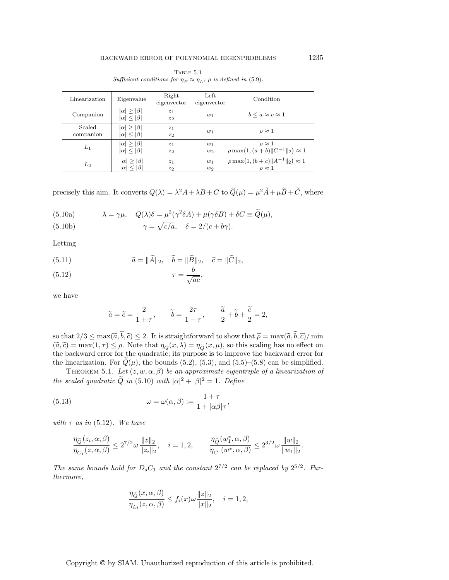| Linearization       | Eigenvalue                                      | Right<br>eigenvector | Left<br>eigenvector | Condition                                                          |
|---------------------|-------------------------------------------------|----------------------|---------------------|--------------------------------------------------------------------|
| Companion           | $ \alpha  >  \beta $<br>$ \alpha  \leq  \beta $ | $z_1$<br>$z_2$       | $w_1$               | $b \leq a \approx c \approx 1$                                     |
| Scaled<br>companion | $ \alpha  >  \beta $<br>$ \alpha  <  \beta $    | $z_1$<br>$z_2$       | $w_1$               | $\rho \approx 1$                                                   |
| $L_1$               | $ \alpha  >  \beta $<br>$ \alpha  \leq  \beta $ | $z_1$<br>$z_2$       | $w_1$<br>$w_2$      | $\rho \approx 1$<br>$\rho \max(1, (a+b)    C^{-1}   _2) \approx 1$ |
| L <sub>2</sub>      | $ \alpha  >  \beta $<br>$ \alpha  \leq  \beta $ | $z_1$<br>$z_2$       | $w_1$<br>$w_2$      | $\rho \max(1, (b+c)    A^{-1}   _2) \approx 1$<br>$\rho \approx 1$ |

TABLE  $5.1$ Sufficient conditions for  $\eta_P \approx \eta_L$ ;  $\rho$  is defined in (5.9).

precisely this aim. It converts  $Q(\lambda) = \lambda^2 A + \lambda B + C$  to  $\widetilde{Q}(\mu) = \mu^2 \widetilde{A} + \mu \widetilde{B} + \widetilde{C}$ , where

(5.10a) 
$$
\lambda = \gamma \mu, \quad Q(\lambda)\delta = \mu^2(\gamma^2 \delta A) + \mu(\gamma \delta B) + \delta C \equiv \tilde{Q}(\mu),
$$

$$
\gamma = \sqrt{c/a}, \quad \delta = 2/(c + b\gamma).
$$

Letting

(5.11) 
$$
\widetilde{a} = \|\widetilde{A}\|_2, \quad \widetilde{b} = \|\widetilde{B}\|_2, \quad \widetilde{c} = \|\widetilde{C}\|_2,
$$

$$
\tau = \frac{b}{\sqrt{ac}},
$$

we have

$$
\widetilde{a} = \widetilde{c} = \frac{2}{1+\tau}, \qquad \widetilde{b} = \frac{2\tau}{1+\tau}, \qquad \frac{\widetilde{a}}{2} + \widetilde{b} + \frac{\widetilde{c}}{2} = 2,
$$

so that  $2/3 \le \max(\tilde{a}, \tilde{b}, \tilde{c}) \le 2$ . It is straightforward to show that  $\tilde{\rho} = \max(\tilde{a}, \tilde{b}, \tilde{c})/\min$  $(\tilde{a}, \tilde{c}) = \max(1, \tau) \leq \rho$ . Note that  $\eta_Q(x, \lambda) = \eta_{\tilde{Q}}(x, \mu)$ , so this scaling has no effect on the backward error for the quadratic; its purpose is to improve the backward error for the linearization. For  $\tilde{Q}(\mu)$ , the bounds (5.2), (5.3), and (5.5)–(5.8) can be simplified.

THEOREM 5.1. Let  $(z, w, \alpha, \beta)$  be an approximate eigentriple of a linearization of the scaled quadratic  $\tilde{Q}$  in (5.10) with  $|\alpha|^2 + |\beta|^2 = 1$ . Define

(5.13) 
$$
\omega = \omega(\alpha, \beta) := \frac{1 + \tau}{1 + |\alpha \beta| \tau},
$$

with  $\tau$  as in (5.12). We have

$$
\frac{\eta_{\tilde{Q}}(z_i, \alpha, \beta)}{\eta_{C_1}(z, \alpha, \beta)} \le 2^{7/2} \omega \frac{\|z\|_2}{\|z_i\|_2}, \quad i = 1, 2, \qquad \frac{\eta_{\tilde{Q}}(w_1^*, \alpha, \beta)}{\eta_{C_1}(w^*, \alpha, \beta)} \le 2^{3/2} \omega \frac{\|w\|_2}{\|w_1\|_2}.
$$

The same bounds hold for  $D_sC_1$  and the constant  $2^{7/2}$  can be replaced by  $2^{5/2}$ . Furthermore,

$$
\frac{\eta_{\widetilde{Q}}(x,\alpha,\beta)}{\eta_{L_i}(z,\alpha,\beta)} \le f_i(x)\omega \frac{\|z\|_2}{\|x\|_2}, \quad i = 1, 2,
$$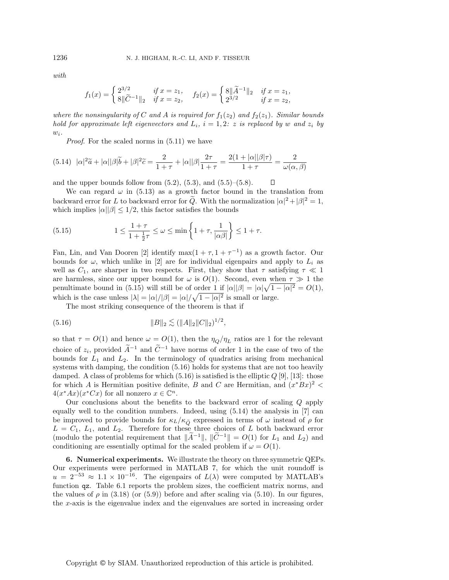with

$$
f_1(x) = \begin{cases} 2^{3/2} & \text{if } x = z_1, \\ 8 \|\widetilde{C}^{-1}\|_2 & \text{if } x = z_2, \end{cases} \quad f_2(x) = \begin{cases} 8 \|\widetilde{A}^{-1}\|_2 & \text{if } x = z_1, \\ 2^{3/2} & \text{if } x = z_2, \end{cases}
$$

where the nonsingularity of C and A is required for  $f_1(z_2)$  and  $f_2(z_1)$ . Similar bounds hold for approximate left eigenvectors and  $L_i$ ,  $i = 1, 2$ : z is replaced by w and  $z_i$  by  $w_i$ .

Proof. For the scaled norms in (5.11) we have

$$
(5.14)\ \ |\alpha|^2\widetilde{a}+|\alpha||\beta|\widetilde{b}+|\beta|^2\widetilde{c}=\frac{2}{1+\tau}+|\alpha||\beta|\frac{2\tau}{1+\tau}=\frac{2(1+|\alpha||\beta|\tau)}{1+\tau}=\frac{2}{\omega(\alpha,\beta)}
$$

and the upper bounds follow from  $(5.2)$ ,  $(5.3)$ , and  $(5.5)$ – $(5.8)$ .  $\Box$ 

We can regard  $\omega$  in (5.13) as a growth factor bound in the translation from backward error for L to backward error for  $\tilde{Q}$ . With the normalization  $|\alpha|^2 + |\beta|^2 = 1$ , which implies  $|\alpha||\beta| \leq 1/2$ , this factor satisfies the bounds

(5.15) 
$$
1 \leq \frac{1+\tau}{1+\frac{1}{2}\tau} \leq \omega \leq \min\left\{1+\tau, \frac{1}{|\alpha\beta|}\right\} \leq 1+\tau.
$$

Fan, Lin, and Van Dooren [2] identify max $(1 + \tau, 1 + \tau^{-1})$  as a growth factor. Our bounds for  $\omega$ , which unlike in [2] are for individual eigenpairs and apply to  $L_i$  as well as  $C_1$ , are sharper in two respects. First, they show that  $\tau$  satisfying  $\tau \ll 1$ are harmless, since our upper bound for  $\omega$  is  $O(1)$ . Second, even when  $\tau \gg 1$  the penultimate bound in (5.15) will still be of order 1 if  $|\alpha||\beta| = |\alpha|\sqrt{1-|\alpha|^2} = O(1)$ , which is the case unless  $|\lambda| = |\alpha|/|\beta| = |\alpha|/\sqrt{1 - |\alpha|^2}$  is small or large.

The most striking consequence of the theorem is that if

(5.16) 
$$
||B||_2 \lesssim (||A||_2 ||C||_2)^{1/2},
$$

so that  $\tau = O(1)$  and hence  $\omega = O(1)$ , then the  $\eta_O / \eta_L$  ratios are 1 for the relevant choice of  $z_i$ , provided  $\widetilde{A}^{-1}$  and  $\widetilde{C}^{-1}$  have norms of order 1 in the case of two of the bounds for  $L_1$  and  $L_2$ . In the terminology of quadratics arising from mechanical systems with damping, the condition (5.16) holds for systems that are not too heavily damped. A class of problems for which  $(5.16)$  is satisfied is the elliptic Q [9], [13]: those for which A is Hermitian positive definite, B and C are Hermitian, and  $(x^*Bx)^2$  <  $4(x^*Ax)(x^*Cx)$  for all nonzero  $x \in \mathbb{C}^n$ .

Our conclusions about the benefits to the backward error of scaling Q apply equally well to the condition numbers. Indeed, using (5.14) the analysis in [7] can be improved to provide bounds for  $\kappa_L/\kappa_{\tilde{Q}}$  expressed in terms of  $\omega$  instead of  $\rho$  for  $L = C_1$ ,  $L_1$ , and  $L_2$ . Therefore for these three choices of  $L$  both backward error (modulo the potential requirement that  $\|\tilde{A}^{-1}\|$ ,  $\|\tilde{C}^{-1}\| = O(1)$  for  $L_1$  and  $L_2$ ) and conditioning are essentially optimal for the scaled problem if  $\omega = O(1)$ .

**6. Numerical experiments.** We illustrate the theory on three symmetric QEPs. Our experiments were performed in MATLAB 7, for which the unit roundoff is  $u = 2^{-53} \approx 1.1 \times 10^{-16}$ . The eigenpairs of  $L(\lambda)$  were computed by MATLAB's function qz. Table 6.1 reports the problem sizes, the coefficient matrix norms, and the values of  $\rho$  in (3.18) (or (5.9)) before and after scaling via (5.10). In our figures, the x-axis is the eigenvalue index and the eigenvalues are sorted in increasing order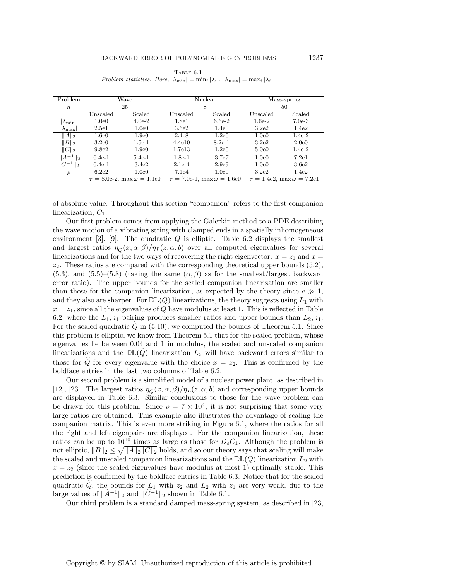| Problem                  | Wave                                    |                   |                   | Nuclear                                 | Mass-spring                            |                   |  |
|--------------------------|-----------------------------------------|-------------------|-------------------|-----------------------------------------|----------------------------------------|-------------------|--|
| $\boldsymbol{n}$         | 25                                      |                   |                   | 8                                       | 50                                     |                   |  |
|                          | $\rm Unscaled$                          | Scaled            | $\rm Unscaled$    | Scaled                                  | Unscaled                               | Scaled            |  |
| $\lambda_{\min}$         | 1.0e0                                   | $4.0e-2$          | 1.8 <sub>e1</sub> | $6.6e-2$                                | $1.6e-2$                               | $7.0e-3$          |  |
| $ \lambda_{\text{max}} $ | 2.5e1                                   | 1.0 <sub>e0</sub> | 3.6 <sub>e2</sub> | 1.4e0                                   | 3.2 <sub>e2</sub>                      | 1.4 <sub>e2</sub> |  |
| $  A  _2$                | 1.6e0                                   | 1.9 <sub>e0</sub> | 2.4e8             | 1.2e0                                   | 1.0 <sub>e0</sub>                      | $1.4e-2$          |  |
| $  B  _2$                | 3.2e0                                   | $1.5e-1$          | 4.4e10            | $8.2e-1$                                | 3.2 <sub>e2</sub>                      | 2.0e0             |  |
| $  C  _2$                | 9.8 <sub>e2</sub>                       | 1.9 <sub>e0</sub> | 1.7e13            | 1.2 <sub>e0</sub>                       | 5.0e0                                  | $1.4e-2$          |  |
| $  A^{-1}  _2$           | $6.4e-1$                                | $5.4e-1$          | $1.8e-1$          | 3.7e7                                   | 1.0 <sub>e0</sub>                      | 7.2e1             |  |
| $  C^{-1}  _2$           | $6.4e-1$                                | 3.4e2             | $2.1e-4$          | 2.9e9                                   | 1.0e0                                  | 3.6e2             |  |
| $\rho$                   | 6.2e2                                   | 1.0 <sub>e0</sub> | 7.1e4             | 1.0 <sub>e0</sub>                       | 3.2 <sub>e2</sub>                      | 1.4 <sub>e2</sub> |  |
|                          | $\tau = 8.0$ e-2, max $\omega = 1.1$ e0 |                   |                   | $\tau = 7.0$ e-1, max $\omega = 1.6$ e0 | $\tau = 1.4$ e2, max $\omega = 7.2$ e1 |                   |  |

TABLE  $6.1$ Problem statistics. Here,  $|\lambda_{\min}| = \min_i |\lambda_i|, |\lambda_{\max}| = \max_i |\lambda_i|$ .

of absolute value. Throughout this section "companion" refers to the first companion linearization,  $C_1$ .

Our first problem comes from applying the Galerkin method to a PDE describing the wave motion of a vibrating string with clamped ends in a spatially inhomogeneous environment  $[3]$ ,  $[9]$ . The quadratic  $Q$  is elliptic. Table 6.2 displays the smallest and largest ratios  $\eta_{\mathcal{O}}(x,\alpha,\beta)/\eta_L(z,\alpha,b)$  over all computed eigenvalues for several linearizations and for the two ways of recovering the right eigenvector:  $x = z<sub>1</sub>$  and  $x = z<sub>1</sub>$  $z_2$ . These ratios are compared with the corresponding theoretical upper bounds  $(5.2)$ , (5.3), and (5.5)–(5.8) (taking the same  $(\alpha, \beta)$  as for the smallest/largest backward error ratio). The upper bounds for the scaled companion linearization are smaller than those for the companion linearization, as expected by the theory since  $c \gg 1$ , and they also are sharper. For  $D\mathbb{L}(Q)$  linearizations, the theory suggests using  $L_1$  with  $x = z<sub>1</sub>$ , since all the eigenvalues of Q have modulus at least 1. This is reflected in Table 6.2, where the  $L_1$ ,  $z_1$  pairing produces smaller ratios and upper bounds than  $L_2$ ,  $z_1$ . For the scaled quadratic  $Q$  in (5.10), we computed the bounds of Theorem 5.1. Since this problem is elliptic, we know from Theorem 5.1 that for the scaled problem, whose eigenvalues lie between 0.04 and 1 in modulus, the scaled and unscaled companion linearizations and the  $D\mathbb{L}(Q)$  linearization  $L_2$  will have backward errors similar to those for  $\tilde{Q}$  for every eigenvalue with the choice  $x = z_2$ . This is confirmed by the boldface entries in the last two columns of Table 6.2.

Our second problem is a simplified model of a nuclear power plant, as described in [12], [23]. The largest ratios  $\eta_{\mathcal{O}}(x,\alpha,\beta)/\eta_{L}(z,\alpha,b)$  and corresponding upper bounds are displayed in Table 6.3. Similar conclusions to those for the wave problem can be drawn for this problem. Since  $\rho = 7 \times 10^4$ , it is not surprising that some very large ratios are obtained. This example also illustrates the advantage of scaling the companion matrix. This is even more striking in Figure 6.1, where the ratios for all the right and left eigenpairs are displayed. For the companion linearization, these ratios can be up to  $10^{10}$  times as large as those for  $D_sC_1$ . Although the problem is not elliptic,  $||B||_2 \leq \sqrt{||A||_2||C||_2}$  holds, and so our theory says that scaling will make the scaled and unscaled companion linearizations and the  $D\mathbb{L}(Q)$  linearization  $L_2$  with  $x = z<sub>2</sub>$  (since the scaled eigenvalues have modulus at most 1) optimally stable. This prediction is confirmed by the boldface entries in Table 6.3. Notice that for the scaled quadratic  $Q$ , the bounds for  $L_1$  with  $z_2$  and  $L_2$  with  $z_1$  are very weak, due to the large values of  $\|\widetilde{A}^{-1}\|_2$  and  $\|\widetilde{C}^{-1}\|_2$  shown in Table 6.1.

Our third problem is a standard damped mass-spring system, as described in [23,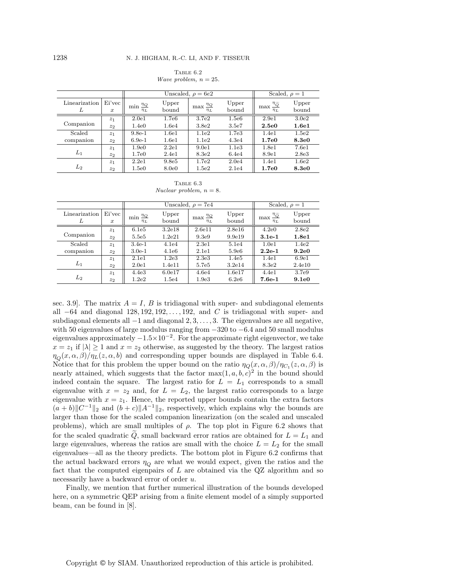Table 6.2 Wave problem,  $n = 25$ .

|                    |                            |                                          | Unscaled, $\rho = 6e2$ | Scaled, $\rho = 1$                     |                   |                                                            |                   |
|--------------------|----------------------------|------------------------------------------|------------------------|----------------------------------------|-------------------|------------------------------------------------------------|-------------------|
| Linearization<br>L | Ei'vec<br>$\boldsymbol{x}$ | $\frac{\eta_Q}{\eta}$<br>min<br>$\eta_L$ | Upper<br>bound         | $\max \frac{\eta_Q}{\eta}$<br>$\eta_L$ | Upper<br>bound    | $\frac{\eta_{\widetilde{Q}}}{\sqrt{Q}}$<br>max<br>$\eta_L$ | Upper<br>bound    |
|                    | z <sub>1</sub>             | 2.0e1                                    | 1.7e6                  | 3.7e2                                  | 1.5e6             | 2.9e1                                                      | 3.0 <sub>e2</sub> |
| Companion          | $z_2$                      | 1.4e0                                    | 1.6e4                  | 3.8e2                                  | 3.5e7             | 2.5e0                                                      | 1.6e1             |
| Scaled             | $z_1$                      | $9.8e-1$                                 | 1.6e1                  | 1.1e2                                  | 1.7 <sub>e3</sub> | 1.4e1                                                      | 1.5e2             |
| companion          | $z_2$                      | $6.9e-1$                                 | 1.6e1                  | 1.1e2                                  | 4.3e4             | 1.7e0                                                      | <b>8.3e0</b>      |
| $L_1$              | $z_1$                      | 1.9 <sub>e0</sub>                        | 2.2e1                  | 9.0e1                                  | 1.1e3             | 1.8e1                                                      | 7.6e1             |
|                    | $z_2$                      | 1.7 <sub>e0</sub>                        | 2.4e1                  | 8.3e2                                  | 6.4e4             | 8.9e1                                                      | 2.8e3             |
| $L_{2}$            | z <sub>1</sub>             | 2.2e1                                    | 9.8e5                  | 1.7 <sub>e2</sub>                      | 2.0e4             | 1.4e1                                                      | 1.6e2             |
|                    | $z_2$                      | 1.5e0                                    | 8.0e0                  | 1.5e2                                  | 2.1e4             | 1.7e0                                                      | 8.3e0             |

TABLE  $6.3$ Nuclear problem,  $n = 8$ .

|                    |                            | Unscaled, $\rho = 7e4$                 |                    |                                        |                | Scaled, $\rho = 1$                                   |                   |
|--------------------|----------------------------|----------------------------------------|--------------------|----------------------------------------|----------------|------------------------------------------------------|-------------------|
| Linearization<br>L | Ei'vec<br>$\boldsymbol{x}$ | $\min \frac{\eta_Q}{\eta}$<br>$\eta_L$ | Upper<br>bound     | $\max \frac{\eta_Q}{\eta}$<br>$\eta_L$ | Upper<br>bound | $\max \frac{\eta_{\widetilde{Q}}}{\tau}$<br>$\eta_L$ | Upper<br>bound    |
|                    | $z_1$                      | 6.1e5                                  | 3.2e18             | 2.6e11                                 | 2.8e16         | 4.2e0                                                | 2.8e2             |
| Companion          | z <sub>2</sub>             | 5.5e <sub>5</sub>                      | 1.2 <sub>e21</sub> | 9.3e9                                  | 9.9e19         | $3.1e-1$                                             | 1.8 <sub>e1</sub> |
| Scaled             | z <sub>1</sub>             | $3.4e-1$                               | 4.1e4              | 2.3e1                                  | 5.1e4          | 1.0e1                                                | 1.4 <sub>e2</sub> |
| companion          | $z_2$                      | $3.0e-1$                               | 4.1e6              | 2.1e1                                  | 5.9e6          | $2.2e-1$                                             | 9.2e0             |
|                    | z <sub>1</sub>             | 2.1e1                                  | 1.2 <sub>e</sub> 3 | 2.3 <sub>e</sub> 3                     | 1.4e5          | 1.4e1                                                | 6.9e1             |
| $L_1$              | $z_2$                      | 2.0e1                                  | 1.4e11             | 5.7e5                                  | 3.2e14         | 8.3e2                                                | 2.4e10            |
|                    | $z_1$                      | 4.4e <sub>3</sub>                      | 6.0e17             | 4.6e4                                  | 1.6e17         | 4.4e1                                                | 3.7e9             |
| $L_2$              | $z_2$                      | 1.2 <sub>e2</sub>                      | 1.5e4              | 1.9 <sub>e</sub> 3                     | 6.2e6          | $7.6e-1$                                             | 9.1e0             |

sec. 3.9. The matrix  $A = I$ , B is tridiagonal with super- and subdiagonal elements all  $-64$  and diagonal 128, 192, 192,..., 192, and C is tridiagonal with super- and subdiagonal elements all −1 and diagonal 2, 3,..., 3. The eigenvalues are all negative, with 50 eigenvalues of large modulus ranging from −320 to −6.4 and 50 small modulus eigenvalues approximately  $-1.5 \times 10^{-2}$ . For the approximate right eigenvector, we take  $x = z_1$  if  $|\lambda| \ge 1$  and  $x = z_2$  otherwise, as suggested by the theory. The largest ratios  $\eta_{\Omega}(x,\alpha,\beta)/\eta_L(z,\alpha,b)$  and corresponding upper bounds are displayed in Table 6.4. Notice that for this problem the upper bound on the ratio  $\eta_{\mathcal{O}}(x,\alpha,\beta)/\eta_{C_1}(z,\alpha,\beta)$  is nearly attained, which suggests that the factor  $\max(1, a, b, c)^2$  in the bound should indeed contain the square. The largest ratio for  $L = L_1$  corresponds to a small eigenvalue with  $x = z_2$  and, for  $L = L_2$ , the largest ratio corresponds to a large eigenvalue with  $x = z<sub>1</sub>$ . Hence, the reported upper bounds contain the extra factors  $(a + b)$ ||C<sup>-1</sup>||<sub>2</sub> and  $(b + c)$ ||A<sup>-1</sup>||<sub>2</sub>, respectively, which explains why the bounds are larger than those for the scaled companion linearization (on the scaled and unscaled problems), which are small multiples of  $\rho$ . The top plot in Figure 6.2 shows that for the scaled quadratic  $\tilde{Q}$ , small backward error ratios are obtained for  $L = L_1$  and large eigenvalues, whereas the ratios are small with the choice  $L = L<sub>2</sub>$  for the small eigenvalues—all as the theory predicts. The bottom plot in Figure 6.2 confirms that the actual backward errors  $\eta_Q$  are what we would expect, given the ratios and the fact that the computed eigenpairs of  $L$  are obtained via the  $QZ$  algorithm and so necessarily have a backward error of order u.

Finally, we mention that further numerical illustration of the bounds developed here, on a symmetric QEP arising from a finite element model of a simply supported beam, can be found in [8].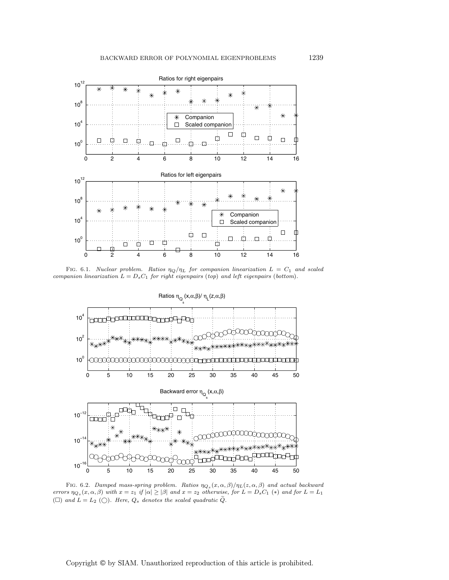

FIG. 6.1. Nuclear problem. Ratios  $\eta_Q/\eta_L$  for companion linearization  $L = C_1$  and scaled companion linearization  $L = D_s C_1$  for right eigenpairs (top) and left eigenpairs (bottom).



FIG. 6.2. Damped mass-spring problem. Ratios  $\eta_{Q_s}(x,\alpha,\beta)/\eta_L(z,\alpha,\beta)$  and actual backward errors  $\eta_{Q_s}(x, \alpha, \beta)$  with  $x = z_1$  if  $|\alpha| \ge |\beta|$  and  $x = z_2$  otherwise, for  $L = D_s C_1$  (\*) and for  $L = L_1$ ( $\square$ ) and  $L = L_2$  ( $\square$ ). Here,  $Q_s$  denotes the scaled quadratic  $Q$ .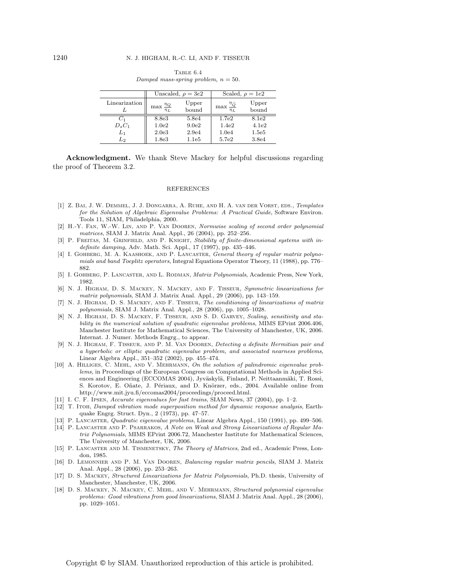|               |                                       | Unscaled, $\rho = 3e2$ | Scaled, $\rho = 1e2$                       |                |  |
|---------------|---------------------------------------|------------------------|--------------------------------------------|----------------|--|
| Linearization | $\max \frac{\eta_Q}{\eta_Q}$<br>$n_L$ | Upper<br>bound         | $\max \frac{\eta_{\widetilde{Q}}}{\eta_L}$ | Upper<br>bound |  |
| U1            | 8.8e3                                 | 5.8e4                  | 1.7e2                                      | 8.1e2          |  |
| $D_sC_1$      | 1.0 <sub>e2</sub>                     | 9.0 <sub>e2</sub>      | 1.4 <sub>e2</sub>                          | 4.1e2          |  |
| $L_1$         | 2.0 <sub>e</sub> 3                    | 2.9e4                  | 1.0 <sub>e4</sub>                          | 1.5e5          |  |
| L2            | 1.8e3                                 | 1.1e5                  | 5.7e2                                      | 3.8e4          |  |

Table 6.4 Damped mass-spring problem,  $n = 50$ .

**Acknowledgment.** We thank Steve Mackey for helpful discussions regarding the proof of Theorem 3.2.

#### REFERENCES

- [1] Z. Bai, J. W. Demmel, J. J. Dongarra, A. Ruhe, and H. A. van der Vorst, eds., Templates for the Solution of Algebraic Eigenvalue Problems: A Practical Guide, Software Environ. Tools 11, SIAM, Philadelphia, 2000.
- [2] H.-Y. Fan, W.-W. Lin, and P. Van Dooren, Normwise scaling of second order polynomial matrices, SIAM J. Matrix Anal. Appl., 26 (2004), pp. 252–256.
- [3] P. FREITAS, M. GRINFIELD, AND P. KNIGHT, Stability of finite-dimensional systems with indefinite damping, Adv. Math. Sci. Appl., 17 (1997), pp. 435–446.
- [4] I. Gohberg, M. A. Kaashoek, and P. Lancaster, General theory of regular matrix polynomials and band Toeplitz operators, Integral Equations Operator Theory, 11 (1988), pp. 776– 882.
- [5] I. GOHBERG, P. LANCASTER, AND L. RODMAN, *Matrix Polynomials*, Academic Press, New York, 1982.
- [6] N. J. Higham, D. S. Mackey, N. Mackey, and F. Tisseur, Symmetric linearizations for matrix polynomials, SIAM J. Matrix Anal. Appl., 29 (2006), pp. 143–159.
- [7] N. J. Higham, D. S. Mackey, and F. Tisseur, The conditioning of linearizations of matrix polynomials, SIAM J. Matrix Anal. Appl., 28 (2006), pp. 1005–1028.
- [8] N. J. Higham, D. S. Mackey, F. Tisseur, and S. D. Garvey, Scaling, sensitivity and stability in the numerical solution of quadratic eigenvalue problems, MIMS EPrint 2006.406, Manchester Institute for Mathematical Sciences, The University of Manchester, UK, 2006. Internat. J. Numer. Methods Engrg., to appear.
- [9] N. J. Higham, F. Tisseur, and P. M. Van Dooren, Detecting a definite Hermitian pair and a hyperbolic or elliptic quadratic eigenvalue problem, and associated nearness problems, Linear Algebra Appl., 351–352 (2002), pp. 455–474.
- [10] A. HILLIGES, C. MEHL, AND V. MEHRMANN, On the solution of palindromic eigenvalue problems, in Proceedings of the European Congress on Computational Methods in Applied Sciences and Engineering (ECCOMAS 2004), Jyväskylä, Finland, P. Neittaanmäki, T. Rossi, S. Korotov, E. Oñate, J. Périaux, and D. Knörzer, eds., 2004. Available online from http://www.mit.jyu.fi/eccomas2004/proceedings/proceed.html.
- [11] I. C. F. Ipsen, Accurate eigenvalues for fast trains, SIAM News, 37 (2004), pp. 1–2.
- [12] T. Itoh, Damped vibration mode superposition method for dynamic response analysis, Earthquake Engrg. Struct. Dyn., 2 (1973), pp. 47–57.
- [13] P. Lancaster, Quadratic eigenvalue problems, Linear Algebra Appl., 150 (1991), pp. 499–506.
- [14] P. Lancaster and P. Psarrakos, A Note on Weak and Strong Linearizations of Regular Matrix Polynomials, MIMS EPrint 2006.72, Manchester Institute for Mathematical Sciences, The University of Manchester, UK, 2006.
- [15] P. Lancaster and M. Tismenetsky, The Theory of Matrices, 2nd ed., Academic Press, London, 1985.
- [16] D. Lemonnier and P. M. Van Dooren, Balancing regular matrix pencils, SIAM J. Matrix Anal. Appl., 28 (2006), pp. 253–263.
- [17] D. S. Mackey, Structured Linearizations for Matrix Polynomials, Ph.D. thesis, University of Manchester, Manchester, UK, 2006.
- [18] D. S. MACKEY, N. MACKEY, C. MEHL, AND V. MEHRMANN, Structured polynomial eigenvalue problems: Good vibrations from good linearizations, SIAM J. Matrix Anal. Appl., 28 (2006), pp. 1029–1051.